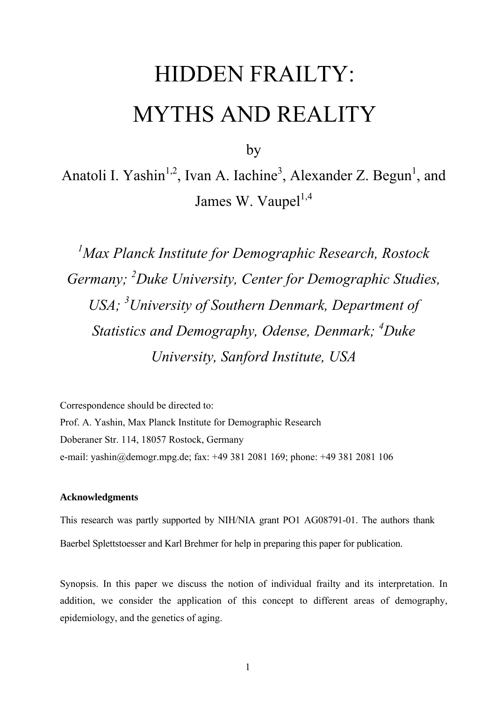# HIDDEN FRAILTY: MYTHS AND REALITY

by

Anatoli I. Yashin<sup>1,2</sup>, Ivan A. Iachine<sup>3</sup>, Alexander Z. Begun<sup>1</sup>, and James W. Vaupel<sup>1,4</sup>

*1 Max Planck Institute for Demographic Research, Rostock Germany; <sup>2</sup> Duke University, Center for Demographic Studies, USA; <sup>3</sup> University of Southern Denmark, Department of Statistics and Demography, Odense, Denmark; <sup>4</sup> Duke University, Sanford Institute, USA* 

Correspondence should be directed to: Prof. A. Yashin, Max Planck Institute for Demographic Research Doberaner Str. 114, 18057 Rostock, Germany e-mail: [yashin@demogr.mpg.de;](mailto:yashin@demogr.mpg.de;) fax: +49 381 2081 169; phone: +49 381 2081 106

#### **Acknowledgments**

This research was partly supported by NIH/NIA grant PO1 AG08791-01. The authors thank Baerbel Splettstoesser and Karl Brehmer for help in preparing this paper for publication.

Synopsis. In this paper we discuss the notion of individual frailty and its interpretation. In addition, we consider the application of this concept to different areas of demography, epidemiology, and the genetics of aging.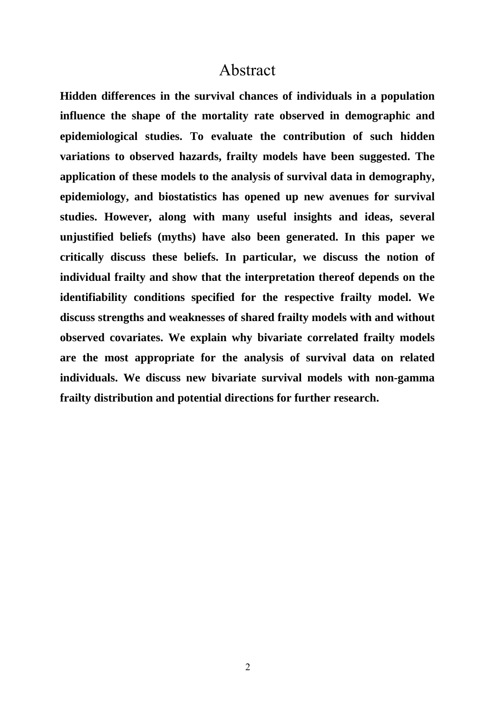### Abstract

**Hidden differences in the survival chances of individuals in a population influence the shape of the mortality rate observed in demographic and epidemiological studies. To evaluate the contribution of such hidden variations to observed hazards, frailty models have been suggested. The application of these models to the analysis of survival data in demography, epidemiology, and biostatistics has opened up new avenues for survival studies. However, along with many useful insights and ideas, several unjustified beliefs (myths) have also been generated. In this paper we critically discuss these beliefs. In particular, we discuss the notion of individual frailty and show that the interpretation thereof depends on the identifiability conditions specified for the respective frailty model. We discuss strengths and weaknesses of shared frailty models with and without observed covariates. We explain why bivariate correlated frailty models are the most appropriate for the analysis of survival data on related individuals. We discuss new bivariate survival models with non-gamma frailty distribution and potential directions for further research.**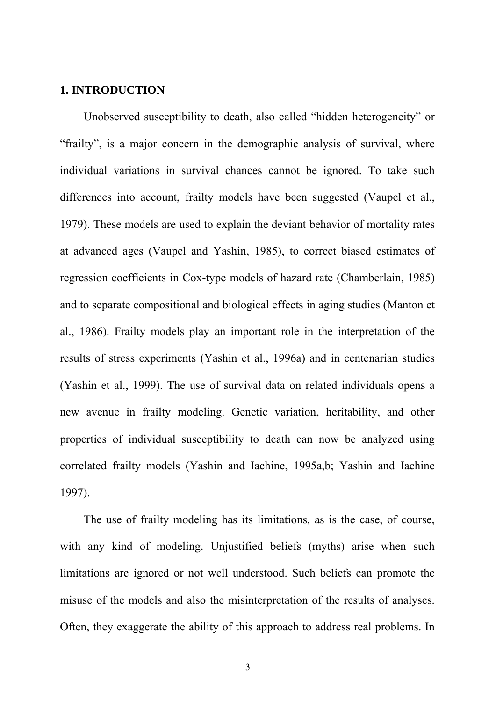#### **1. INTRODUCTION**

Unobserved susceptibility to death, also called "hidden heterogeneity" or "frailty", is a major concern in the demographic analysis of survival, where individual variations in survival chances cannot be ignored. To take such differences into account, frailty models have been suggested (Vaupel et al., 1979). These models are used to explain the deviant behavior of mortality rates at advanced ages (Vaupel and Yashin, 1985), to correct biased estimates of regression coefficients in Cox-type models of hazard rate (Chamberlain, 1985) and to separate compositional and biological effects in aging studies (Manton et al., 1986). Frailty models play an important role in the interpretation of the results of stress experiments (Yashin et al., 1996a) and in centenarian studies (Yashin et al., 1999). The use of survival data on related individuals opens a new avenue in frailty modeling. Genetic variation, heritability, and other properties of individual susceptibility to death can now be analyzed using correlated frailty models (Yashin and Iachine, 1995a,b; Yashin and Iachine 1997).

The use of frailty modeling has its limitations, as is the case, of course, with any kind of modeling. Unjustified beliefs (myths) arise when such limitations are ignored or not well understood. Such beliefs can promote the misuse of the models and also the misinterpretation of the results of analyses. Often, they exaggerate the ability of this approach to address real problems. In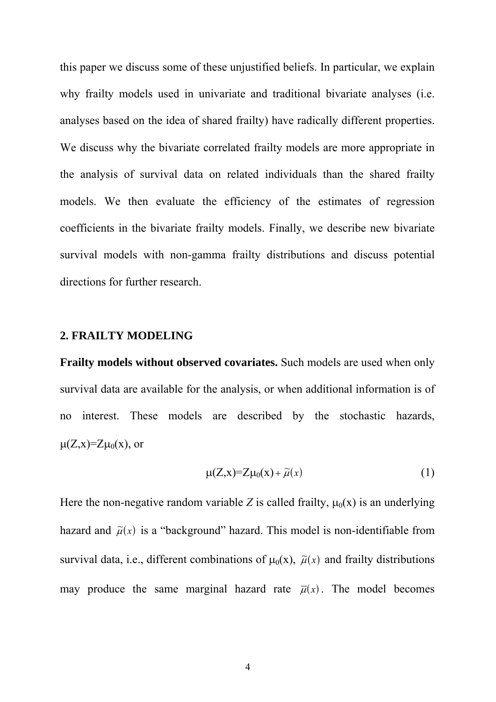this paper we discuss some of these unjustified beliefs. In particular, we explain why frailty models used in univariate and traditional bivariate analyses (i.e. analyses based on the idea of shared frailty) have radically different properties. We discuss why the bivariate correlated frailty models are more appropriate in the analysis of survival data on related individuals than the shared frailty models. We then evaluate the efficiency of the estimates of regression coefficients in the bivariate frailty models. Finally, we describe new bivariate survival models with non-gamma frailty distributions and discuss potential directions for further research.

#### **2. FRAILTY MODELING**

**Frailty models without observed covariates.** Such models are used when only survival data are available for the analysis, or when additional information is of no interest. These models are described by the stochastic hazards,  $\mu(Z, x)=Z\mu_0(x)$ , or

$$
\mu(Z, x)=Z\mu_0(x)+\widetilde{\mu}(x) \tag{1}
$$

Here the non-negative random variable *Z* is called frailty,  $\mu_0(x)$  is an underlying hazard and  $\tilde{\mu}(x)$  is a "background" hazard. This model is non-identifiable from survival data, i.e., different combinations of  $\mu_0(x)$ ,  $\tilde{\mu}(x)$  and frailty distributions may produce the same marginal hazard rate  $\overline{\mu}(x)$ . The model becomes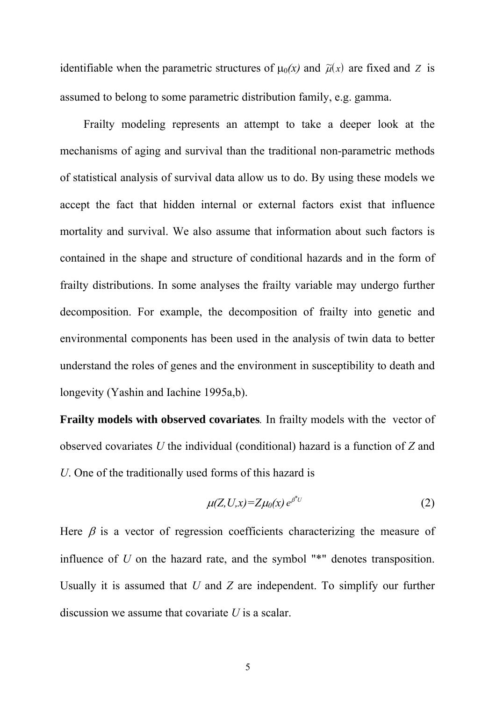identifiable when the parametric structures of  $\mu_0(x)$  and  $\tilde{\mu}(x)$  are fixed and *Z* is assumed to belong to some parametric distribution family, e.g. gamma.

Frailty modeling represents an attempt to take a deeper look at the mechanisms of aging and survival than the traditional non-parametric methods of statistical analysis of survival data allow us to do. By using these models we accept the fact that hidden internal or external factors exist that influence mortality and survival. We also assume that information about such factors is contained in the shape and structure of conditional hazards and in the form of frailty distributions. In some analyses the frailty variable may undergo further decomposition. For example, the decomposition of frailty into genetic and environmental components has been used in the analysis of twin data to better understand the roles of genes and the environment in susceptibility to death and longevity (Yashin and Iachine 1995a,b).

**Frailty models with observed covariates***.* In frailty models with the vector of observed covariates *U* the individual (conditional) hazard is a function of *Z* and *U*. One of the traditionally used forms of this hazard is

$$
\mu(Z, U, x) = Z\mu_0(x) e^{\beta^*U}
$$
 (2)

Here  $\beta$  is a vector of regression coefficients characterizing the measure of influence of *U* on the hazard rate, and the symbol "\*" denotes transposition. Usually it is assumed that *U* and *Z* are independent. To simplify our further discussion we assume that covariate *U* is a scalar.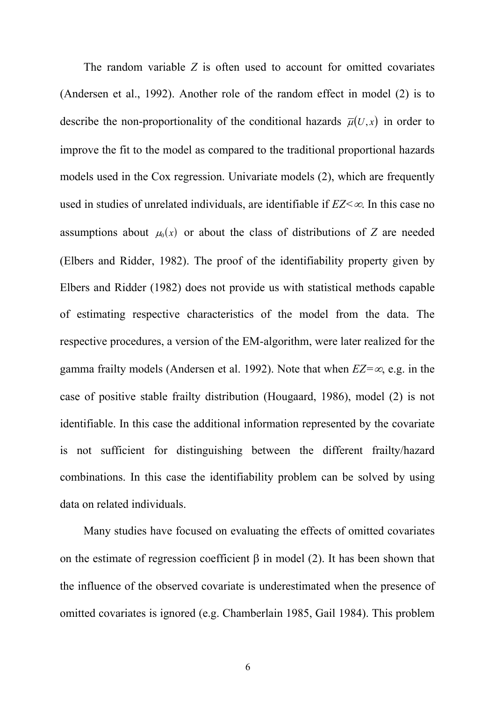The random variable *Z* is often used to account for omitted covariates (Andersen et al., 1992). Another role of the random effect in model (2) is to describe the non-proportionality of the conditional hazards  $\overline{\mu}(U, x)$  in order to improve the fit to the model as compared to the traditional proportional hazards models used in the Cox regression. Univariate models (2), which are frequently used in studies of unrelated individuals, are identifiable if *EZ<*∞. In this case no assumptions about  $\mu_0(x)$  or about the class of distributions of *Z* are needed (Elbers and Ridder, 1982). The proof of the identifiability property given by Elbers and Ridder (1982) does not provide us with statistical methods capable of estimating respective characteristics of the model from the data. The respective procedures, a version of the EM-algorithm, were later realized for the gamma frailty models (Andersen et al. 1992). Note that when *EZ=*∞, e.g. in the case of positive stable frailty distribution (Hougaard, 1986), model (2) is not identifiable. In this case the additional information represented by the covariate is not sufficient for distinguishing between the different frailty/hazard combinations. In this case the identifiability problem can be solved by using data on related individuals.

Many studies have focused on evaluating the effects of omitted covariates on the estimate of regression coefficient  $\beta$  in model (2). It has been shown that the influence of the observed covariate is underestimated when the presence of omitted covariates is ignored (e.g. Chamberlain 1985, Gail 1984). This problem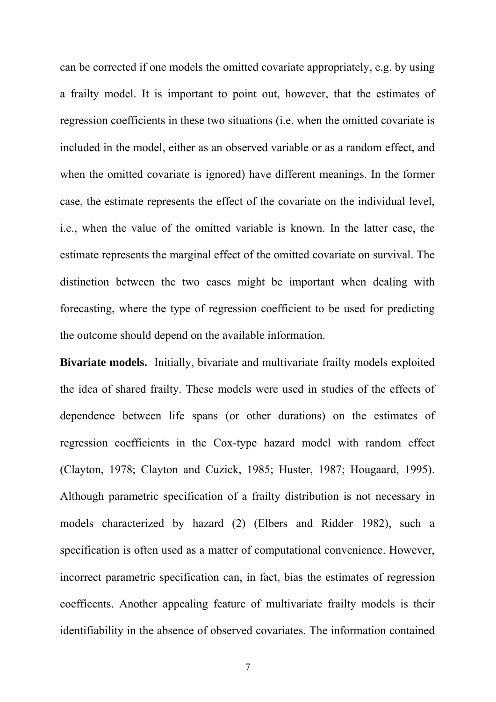can be corrected if one models the omitted covariate appropriately, e.g. by using a frailty model. It is important to point out, however, that the estimates of regression coefficients in these two situations (i.e. when the omitted covariate is included in the model, either as an observed variable or as a random effect, and when the omitted covariate is ignored) have different meanings. In the former case, the estimate represents the effect of the covariate on the individual level, i.e., when the value of the omitted variable is known. In the latter case, the estimate represents the marginal effect of the omitted covariate on survival. The distinction between the two cases might be important when dealing with forecasting, where the type of regression coefficient to be used for predicting the outcome should depend on the available information.

**Bivariate models.** Initially, bivariate and multivariate frailty models exploited the idea of shared frailty. These models were used in studies of the effects of dependence between life spans (or other durations) on the estimates of regression coefficients in the Cox-type hazard model with random effect (Clayton, 1978; Clayton and Cuzick, 1985; Huster, 1987; Hougaard, 1995). Although parametric specification of a frailty distribution is not necessary in models characterized by hazard (2) (Elbers and Ridder 1982), such a specification is often used as a matter of computational convenience. However, incorrect parametric specification can, in fact, bias the estimates of regression coefficents. Another appealing feature of multivariate frailty models is their identifiability in the absence of observed covariates. The information contained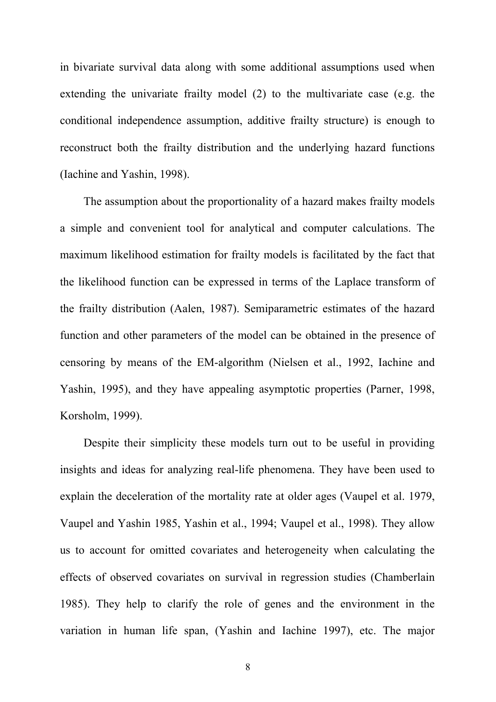in bivariate survival data along with some additional assumptions used when extending the univariate frailty model (2) to the multivariate case (e.g. the conditional independence assumption, additive frailty structure) is enough to reconstruct both the frailty distribution and the underlying hazard functions (Iachine and Yashin, 1998).

The assumption about the proportionality of a hazard makes frailty models a simple and convenient tool for analytical and computer calculations. The maximum likelihood estimation for frailty models is facilitated by the fact that the likelihood function can be expressed in terms of the Laplace transform of the frailty distribution (Aalen, 1987). Semiparametric estimates of the hazard function and other parameters of the model can be obtained in the presence of censoring by means of the EM-algorithm (Nielsen et al., 1992, Iachine and Yashin, 1995), and they have appealing asymptotic properties (Parner, 1998, Korsholm, 1999).

Despite their simplicity these models turn out to be useful in providing insights and ideas for analyzing real-life phenomena. They have been used to explain the deceleration of the mortality rate at older ages (Vaupel et al. 1979, Vaupel and Yashin 1985, Yashin et al., 1994; Vaupel et al., 1998). They allow us to account for omitted covariates and heterogeneity when calculating the effects of observed covariates on survival in regression studies (Chamberlain 1985). They help to clarify the role of genes and the environment in the variation in human life span, (Yashin and Iachine 1997), etc. The major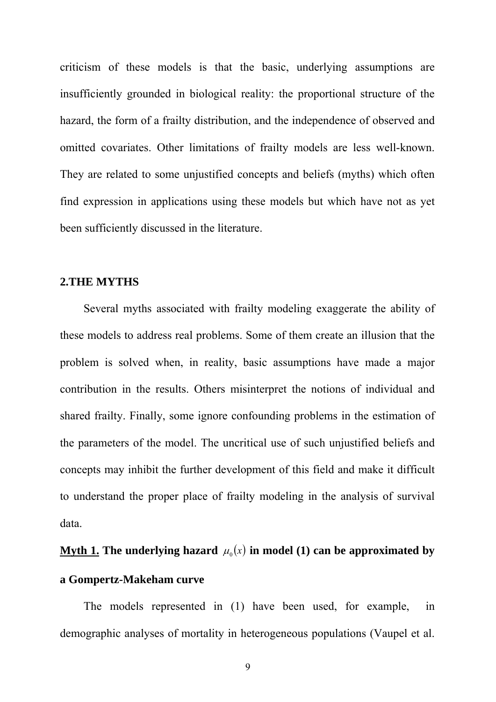criticism of these models is that the basic, underlying assumptions are insufficiently grounded in biological reality: the proportional structure of the hazard, the form of a frailty distribution, and the independence of observed and omitted covariates. Other limitations of frailty models are less well-known. They are related to some unjustified concepts and beliefs (myths) which often find expression in applications using these models but which have not as yet been sufficiently discussed in the literature.

### **2.THE MYTHS**

Several myths associated with frailty modeling exaggerate the ability of these models to address real problems. Some of them create an illusion that the problem is solved when, in reality, basic assumptions have made a major contribution in the results. Others misinterpret the notions of individual and shared frailty. Finally, some ignore confounding problems in the estimation of the parameters of the model. The uncritical use of such unjustified beliefs and concepts may inhibit the further development of this field and make it difficult to understand the proper place of frailty modeling in the analysis of survival data.

# **<u>Myth 1.</u> The underlying hazard**  $\mu_0(x)$  **in model (1) can be approximated by a Gompertz-Makeham curve**

The models represented in (1) have been used, for example, in demographic analyses of mortality in heterogeneous populations (Vaupel et al.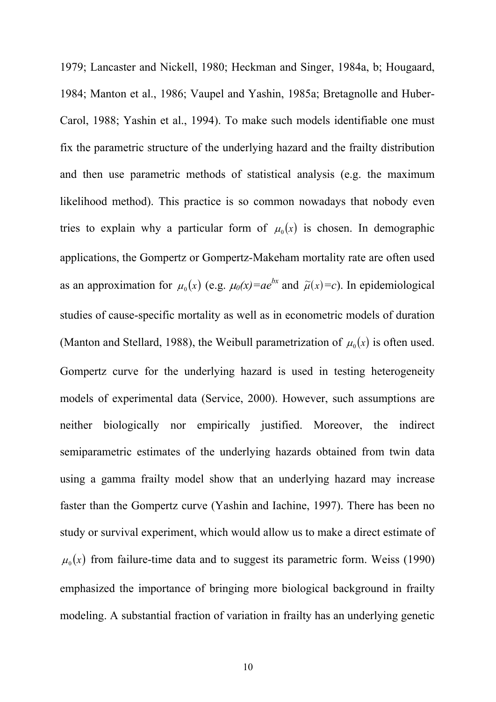1979; Lancaster and Nickell, 1980; Heckman and Singer, 1984a, b; Hougaard, 1984; Manton et al., 1986; Vaupel and Yashin, 1985a; Bretagnolle and Huber-Carol, 1988; Yashin et al., 1994). To make such models identifiable one must fix the parametric structure of the underlying hazard and the frailty distribution and then use parametric methods of statistical analysis (e.g. the maximum likelihood method). This practice is so common nowadays that nobody even tries to explain why a particular form of  $\mu_0(x)$  is chosen. In demographic applications, the Gompertz or Gompertz-Makeham mortality rate are often used as an approximation for  $\mu_0(x)$  (e.g.  $\mu_0(x) = ae^{bx}$  and  $\tilde{\mu}(x) = c$ ). In epidemiological studies of cause-specific mortality as well as in econometric models of duration (Manton and Stellard, 1988), the Weibull parametrization of  $\mu_0(x)$  is often used. Gompertz curve for the underlying hazard is used in testing heterogeneity models of experimental data (Service, 2000). However, such assumptions are neither biologically nor empirically justified. Moreover, the indirect semiparametric estimates of the underlying hazards obtained from twin data using a gamma frailty model show that an underlying hazard may increase faster than the Gompertz curve (Yashin and Iachine, 1997). There has been no study or survival experiment, which would allow us to make a direct estimate of  $\mu_0(x)$  from failure-time data and to suggest its parametric form. Weiss (1990) emphasized the importance of bringing more biological background in frailty modeling. A substantial fraction of variation in frailty has an underlying genetic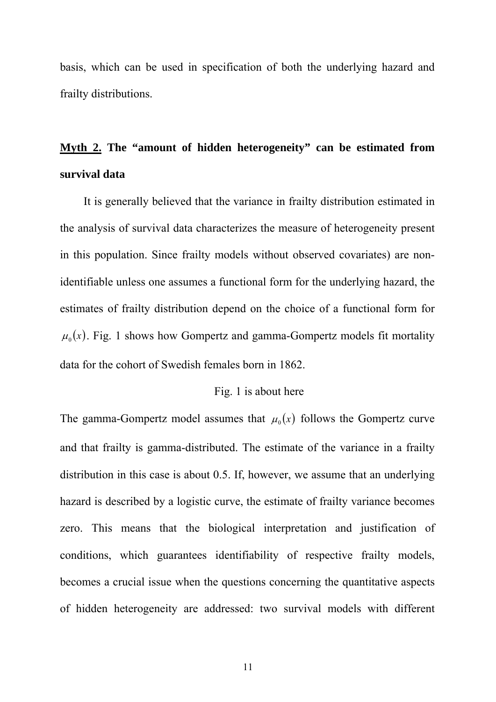basis, which can be used in specification of both the underlying hazard and frailty distributions.

### **Myth 2. The "amount of hidden heterogeneity" can be estimated from survival data**

It is generally believed that the variance in frailty distribution estimated in the analysis of survival data characterizes the measure of heterogeneity present in this population. Since frailty models without observed covariates) are nonidentifiable unless one assumes a functional form for the underlying hazard, the estimates of frailty distribution depend on the choice of a functional form for  $\mu_0(x)$ . Fig. 1 shows how Gompertz and gamma-Gompertz models fit mortality data for the cohort of Swedish females born in 1862.

### Fig. 1 is about here

The gamma-Gompertz model assumes that  $\mu_0(x)$  follows the Gompertz curve and that frailty is gamma-distributed. The estimate of the variance in a frailty distribution in this case is about 0.5. If, however, we assume that an underlying hazard is described by a logistic curve, the estimate of frailty variance becomes zero. This means that the biological interpretation and justification of conditions, which guarantees identifiability of respective frailty models, becomes a crucial issue when the questions concerning the quantitative aspects of hidden heterogeneity are addressed: two survival models with different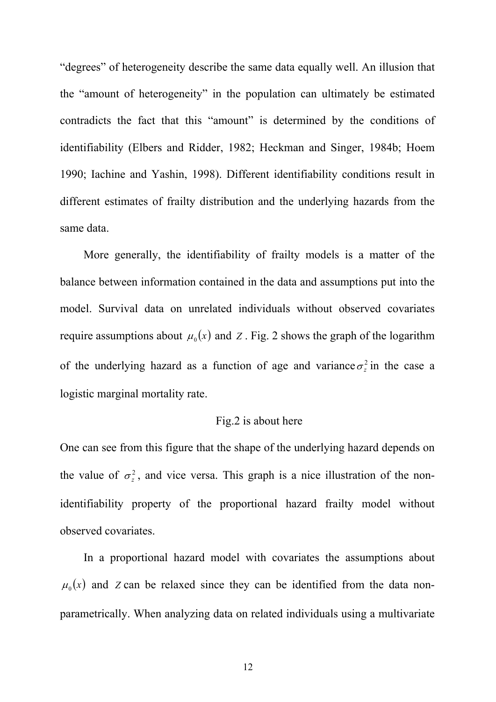"degrees" of heterogeneity describe the same data equally well. An illusion that the "amount of heterogeneity" in the population can ultimately be estimated contradicts the fact that this "amount" is determined by the conditions of identifiability (Elbers and Ridder, 1982; Heckman and Singer, 1984b; Hoem 1990; Iachine and Yashin, 1998). Different identifiability conditions result in different estimates of frailty distribution and the underlying hazards from the same data.

More generally, the identifiability of frailty models is a matter of the balance between information contained in the data and assumptions put into the model. Survival data on unrelated individuals without observed covariates require assumptions about  $\mu_0(x)$  and *Z*. Fig. 2 shows the graph of the logarithm of the underlying hazard as a function of age and variance  $\sigma_z^2$  in the case a logistic marginal mortality rate.

### Fig.2 is about here

One can see from this figure that the shape of the underlying hazard depends on the value of  $\sigma_z^2$ , and vice versa. This graph is a nice illustration of the nonidentifiability property of the proportional hazard frailty model without observed covariates.

In a proportional hazard model with covariates the assumptions about  $\mu_0(x)$  and *Z* can be relaxed since they can be identified from the data nonparametrically. When analyzing data on related individuals using a multivariate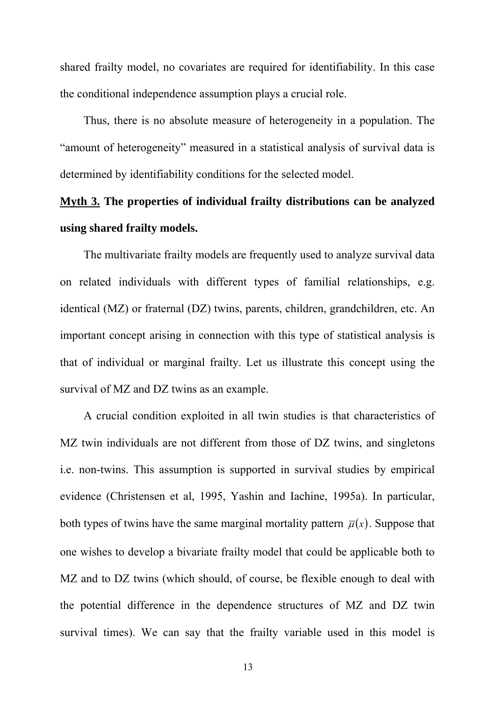shared frailty model, no covariates are required for identifiability. In this case the conditional independence assumption plays a crucial role.

Thus, there is no absolute measure of heterogeneity in a population. The "amount of heterogeneity" measured in a statistical analysis of survival data is determined by identifiability conditions for the selected model.

### **Myth 3. The properties of individual frailty distributions can be analyzed using shared frailty models.**

The multivariate frailty models are frequently used to analyze survival data on related individuals with different types of familial relationships, e.g. identical (MZ) or fraternal (DZ) twins, parents, children, grandchildren, etc. An important concept arising in connection with this type of statistical analysis is that of individual or marginal frailty. Let us illustrate this concept using the survival of MZ and DZ twins as an example.

A crucial condition exploited in all twin studies is that characteristics of MZ twin individuals are not different from those of DZ twins, and singletons i.e. non-twins. This assumption is supported in survival studies by empirical evidence (Christensen et al, 1995, Yashin and Iachine, 1995a). In particular, both types of twins have the same marginal mortality pattern  $\bar{\mu}(x)$ . Suppose that one wishes to develop a bivariate frailty model that could be applicable both to MZ and to DZ twins (which should, of course, be flexible enough to deal with the potential difference in the dependence structures of MZ and DZ twin survival times). We can say that the frailty variable used in this model is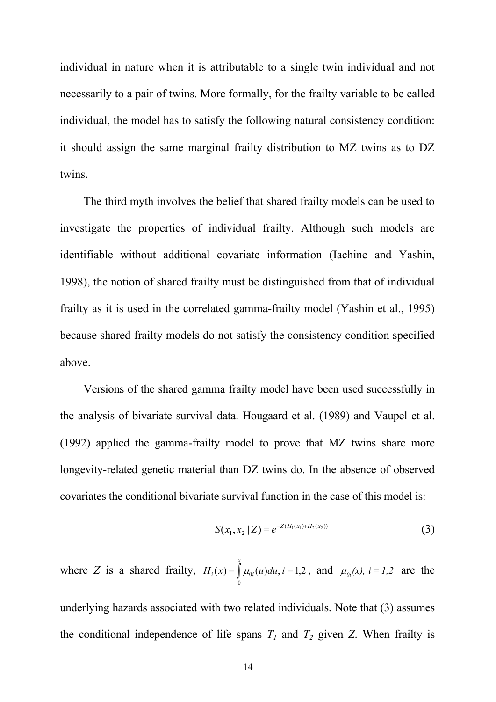individual in nature when it is attributable to a single twin individual and not necessarily to a pair of twins. More formally, for the frailty variable to be called individual, the model has to satisfy the following natural consistency condition: it should assign the same marginal frailty distribution to MZ twins as to DZ twins.

The third myth involves the belief that shared frailty models can be used to investigate the properties of individual frailty. Although such models are identifiable without additional covariate information (Iachine and Yashin, 1998), the notion of shared frailty must be distinguished from that of individual frailty as it is used in the correlated gamma-frailty model (Yashin et al., 1995) because shared frailty models do not satisfy the consistency condition specified above.

Versions of the shared gamma frailty model have been used successfully in the analysis of bivariate survival data. Hougaard et al. (1989) and Vaupel et al. (1992) applied the gamma-frailty model to prove that MZ twins share more longevity-related genetic material than DZ twins do. In the absence of observed covariates the conditional bivariate survival function in the case of this model is:

$$
S(x_1, x_2 | Z) = e^{-Z(H_1(x_1) + H_2(x_2))}
$$
\n(3)

where *Z* is a shared frailty,  $H_i(x) = \int \mu_{0i}(u) du$ ,  $i = 1, 2$ , and *x*  $H_i(x) = \left| \mu_{0i}(u) du, i \right|$ 0  $h(x) = \int \mu_{0i}(u) du, i = 1,2$ , and  $\mu_{0i}(x), i = 1,2$  are the underlying hazards associated with two related individuals. Note that (3) assumes the conditional independence of life spans  $T_1$  and  $T_2$  given  $Z$ . When frailty is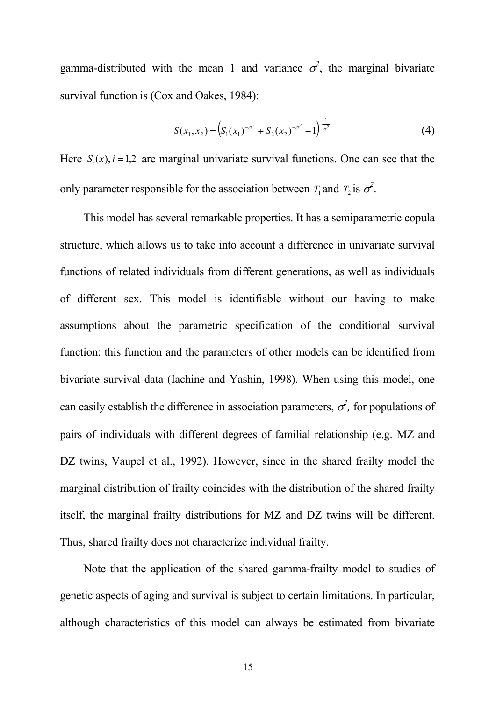gamma-distributed with the mean 1 and variance  $\sigma^2$ , the marginal bivariate survival function is (Cox and Oakes, 1984):

$$
S(x_1, x_2) = \left(S_1(x_1)^{-\sigma^2} + S_2(x_2)^{-\sigma^2} - 1\right)^{\frac{1}{\sigma^2}}
$$
 (4)

Here  $S_i(x)$ ,  $i = 1,2$  are marginal univariate survival functions. One can see that the only parameter responsible for the association between  $T_1$  and  $T_2$  is  $\sigma^2$ .

This model has several remarkable properties. It has a semiparametric copula structure, which allows us to take into account a difference in univariate survival functions of related individuals from different generations, as well as individuals of different sex. This model is identifiable without our having to make assumptions about the parametric specification of the conditional survival function: this function and the parameters of other models can be identified from bivariate survival data (Iachine and Yashin, 1998). When using this model, one can easily establish the difference in association parameters,  $\sigma^2$ , for populations of pairs of individuals with different degrees of familial relationship (e.g. MZ and DZ twins, Vaupel et al., 1992). However, since in the shared frailty model the marginal distribution of frailty coincides with the distribution of the shared frailty itself, the marginal frailty distributions for MZ and DZ twins will be different. Thus, shared frailty does not characterize individual frailty.

Note that the application of the shared gamma-frailty model to studies of genetic aspects of aging and survival is subject to certain limitations. In particular, although characteristics of this model can always be estimated from bivariate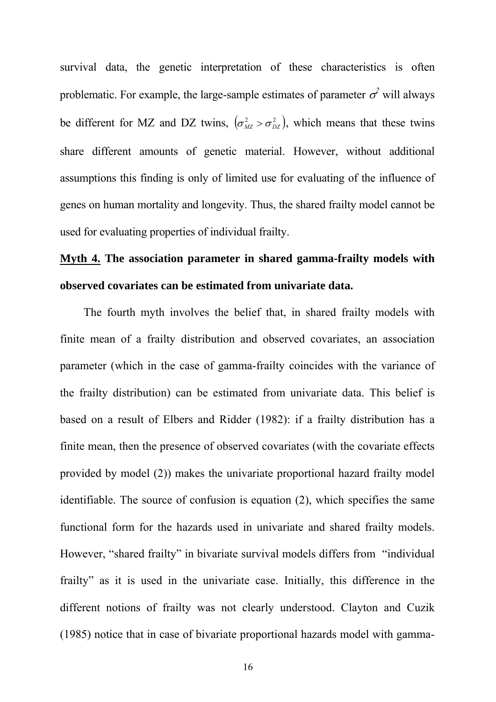survival data, the genetic interpretation of these characteristics is often problematic. For example, the large-sample estimates of parameter  $\sigma^2$  will always be different for MZ and DZ twins,  $(\sigma_{MZ}^2 > \sigma_{DZ}^2)$ , which means that these twins share different amounts of genetic material. However, without additional assumptions this finding is only of limited use for evaluating of the influence of genes on human mortality and longevity. Thus, the shared frailty model cannot be used for evaluating properties of individual frailty.

### **Myth 4. The association parameter in shared gamma-frailty models with observed covariates can be estimated from univariate data.**

The fourth myth involves the belief that, in shared frailty models with finite mean of a frailty distribution and observed covariates, an association parameter (which in the case of gamma-frailty coincides with the variance of the frailty distribution) can be estimated from univariate data. This belief is based on a result of Elbers and Ridder (1982): if a frailty distribution has a finite mean, then the presence of observed covariates (with the covariate effects provided by model (2)) makes the univariate proportional hazard frailty model identifiable. The source of confusion is equation (2), which specifies the same functional form for the hazards used in univariate and shared frailty models. However, "shared frailty" in bivariate survival models differs from "individual frailty" as it is used in the univariate case. Initially, this difference in the different notions of frailty was not clearly understood. Clayton and Cuzik (1985) notice that in case of bivariate proportional hazards model with gamma-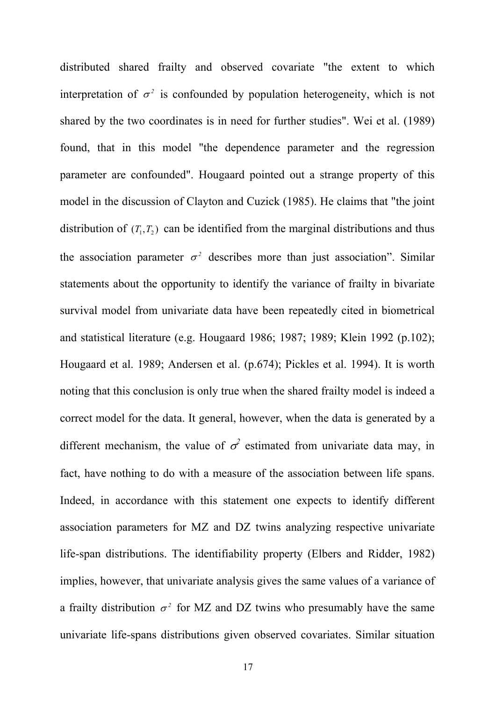distributed shared frailty and observed covariate "the extent to which interpretation of  $\sigma^2$  is confounded by population heterogeneity, which is not shared by the two coordinates is in need for further studies". Wei et al. (1989) found, that in this model "the dependence parameter and the regression parameter are confounded". Hougaard pointed out a strange property of this model in the discussion of Clayton and Cuzick (1985). He claims that "the joint distribution of  $(T_1, T_2)$  can be identified from the marginal distributions and thus the association parameter  $\sigma^2$  describes more than just association". Similar statements about the opportunity to identify the variance of frailty in bivariate survival model from univariate data have been repeatedly cited in biometrical and statistical literature (e.g. Hougaard 1986; 1987; 1989; Klein 1992 (p.102); Hougaard et al. 1989; Andersen et al. (p.674); Pickles et al. 1994). It is worth noting that this conclusion is only true when the shared frailty model is indeed a correct model for the data. It general, however, when the data is generated by a different mechanism, the value of  $\sigma^2$  estimated from univariate data may, in fact, have nothing to do with a measure of the association between life spans. Indeed, in accordance with this statement one expects to identify different association parameters for MZ and DZ twins analyzing respective univariate life-span distributions. The identifiability property (Elbers and Ridder, 1982) implies, however, that univariate analysis gives the same values of a variance of a frailty distribution  $\sigma^2$  for MZ and DZ twins who presumably have the same univariate life-spans distributions given observed covariates. Similar situation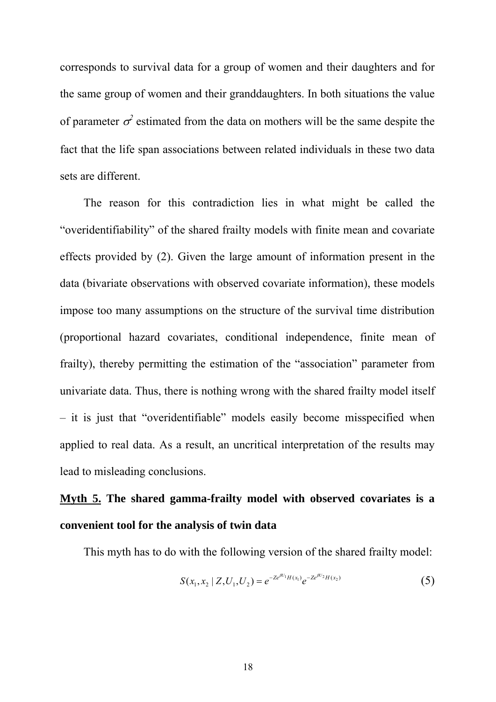corresponds to survival data for a group of women and their daughters and for the same group of women and their granddaughters. In both situations the value of parameter  $\sigma^2$  estimated from the data on mothers will be the same despite the fact that the life span associations between related individuals in these two data sets are different.

The reason for this contradiction lies in what might be called the "overidentifiability" of the shared frailty models with finite mean and covariate effects provided by (2). Given the large amount of information present in the data (bivariate observations with observed covariate information), these models impose too many assumptions on the structure of the survival time distribution (proportional hazard covariates, conditional independence, finite mean of frailty), thereby permitting the estimation of the "association" parameter from univariate data. Thus, there is nothing wrong with the shared frailty model itself – it is just that "overidentifiable" models easily become misspecified when applied to real data. As a result, an uncritical interpretation of the results may lead to misleading conclusions.

### **Myth 5. The shared gamma-frailty model with observed covariates is a convenient tool for the analysis of twin data**

This myth has to do with the following version of the shared frailty model:

$$
S(x_1, x_2 \mid Z, U_1, U_2) = e^{-Ze^{\beta U_1} H(x_1)} e^{-Ze^{\beta U_2} H(x_2)}
$$
\n<sup>(5)</sup>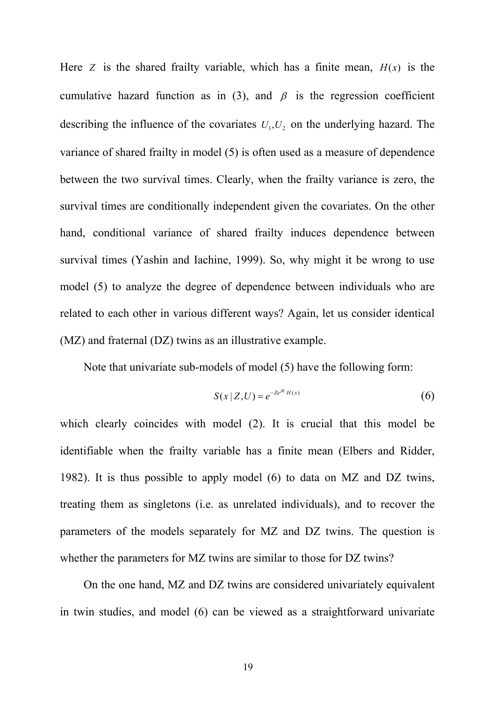Here *Z* is the shared frailty variable, which has a finite mean,  $H(x)$  is the cumulative hazard function as in (3), and  $\beta$  is the regression coefficient describing the influence of the covariates  $U_1, U_2$  on the underlying hazard. The variance of shared frailty in model (5) is often used as a measure of dependence between the two survival times. Clearly, when the frailty variance is zero, the survival times are conditionally independent given the covariates. On the other hand, conditional variance of shared frailty induces dependence between survival times (Yashin and Iachine, 1999). So, why might it be wrong to use model (5) to analyze the degree of dependence between individuals who are related to each other in various different ways? Again, let us consider identical (MZ) and fraternal (DZ) twins as an illustrative example.

Note that univariate sub-models of model (5) have the following form:

$$
S(x \mid Z, U) = e^{-Ze^{\beta U}H(x)}\tag{6}
$$

which clearly coincides with model (2). It is crucial that this model be identifiable when the frailty variable has a finite mean (Elbers and Ridder, 1982). It is thus possible to apply model (6) to data on MZ and DZ twins, treating them as singletons (i.e. as unrelated individuals), and to recover the parameters of the models separately for MZ and DZ twins. The question is whether the parameters for MZ twins are similar to those for DZ twins?

On the one hand, MZ and DZ twins are considered univariately equivalent in twin studies, and model (6) can be viewed as a straightforward univariate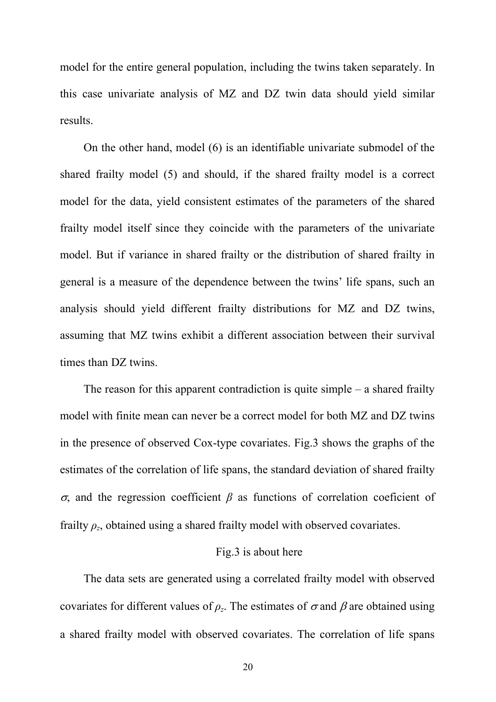model for the entire general population, including the twins taken separately. In this case univariate analysis of MZ and DZ twin data should yield similar results.

On the other hand, model (6) is an identifiable univariate submodel of the shared frailty model (5) and should, if the shared frailty model is a correct model for the data, yield consistent estimates of the parameters of the shared frailty model itself since they coincide with the parameters of the univariate model. But if variance in shared frailty or the distribution of shared frailty in general is a measure of the dependence between the twins' life spans, such an analysis should yield different frailty distributions for MZ and DZ twins, assuming that MZ twins exhibit a different association between their survival times than DZ twins.

The reason for this apparent contradiction is quite simple – a shared frailty model with finite mean can never be a correct model for both MZ and DZ twins in the presence of observed Cox-type covariates. Fig.3 shows the graphs of the estimates of the correlation of life spans, the standard deviation of shared frailty <sup>σ</sup>, and the regression coefficient *β* as functions of correlation coeficient of frailty  $\rho_z$ , obtained using a shared frailty model with observed covariates.

#### Fig.3 is about here

The data sets are generated using a correlated frailty model with observed covariates for different values of  $\rho_z$ . The estimates of  $\sigma$  and  $\beta$  are obtained using a shared frailty model with observed covariates. The correlation of life spans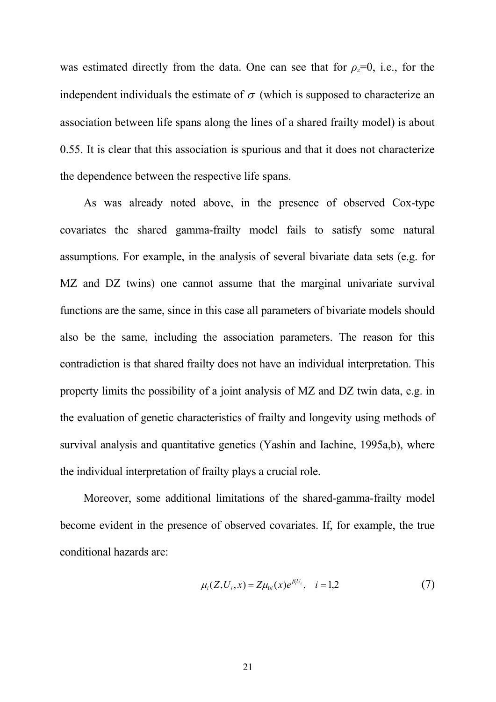was estimated directly from the data. One can see that for  $\rho_z=0$ , i.e., for the independent individuals the estimate of  $\sigma$  (which is supposed to characterize an association between life spans along the lines of a shared frailty model) is about 0.55. It is clear that this association is spurious and that it does not characterize the dependence between the respective life spans.

As was already noted above, in the presence of observed Cox-type covariates the shared gamma-frailty model fails to satisfy some natural assumptions. For example, in the analysis of several bivariate data sets (e.g. for MZ and DZ twins) one cannot assume that the marginal univariate survival functions are the same, since in this case all parameters of bivariate models should also be the same, including the association parameters. The reason for this contradiction is that shared frailty does not have an individual interpretation. This property limits the possibility of a joint analysis of MZ and DZ twin data, e.g. in the evaluation of genetic characteristics of frailty and longevity using methods of survival analysis and quantitative genetics (Yashin and Iachine, 1995a,b), where the individual interpretation of frailty plays a crucial role.

Moreover, some additional limitations of the shared-gamma-frailty model become evident in the presence of observed covariates. If, for example, the true conditional hazards are:

$$
\mu_i(Z, U_i, x) = Z\mu_{0i}(x)e^{\beta_i U_i}, \quad i = 1, 2 \tag{7}
$$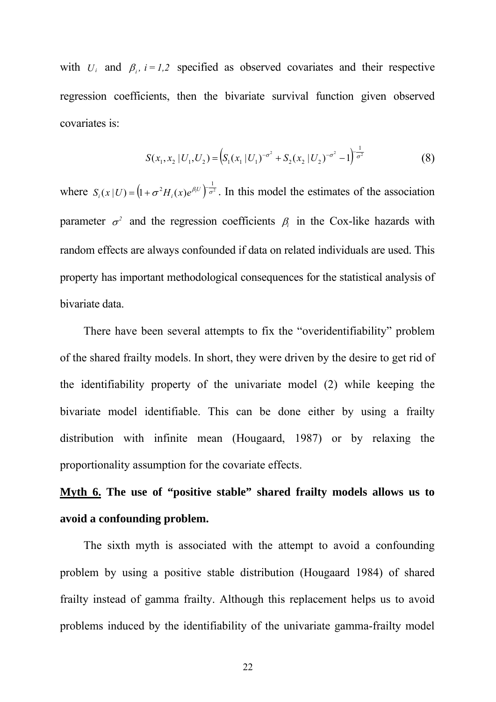with  $U_i$  and  $\beta_i$ ,  $i = 1,2$  specified as observed covariates and their respective regression coefficients, then the bivariate survival function given observed covariates is:

$$
S(x_1, x_2 | U_1, U_2) = \left( S_1(x_1 | U_1)^{-\sigma^2} + S_2(x_2 | U_2)^{-\sigma^2} - 1 \right)^{\frac{1}{\sigma^2}}
$$
(8)

where  $S_i(x|U) = (1 + \sigma^2 H_i(x)e^{\beta_i U})^{\frac{1}{\sigma^2}}$ . In this model the estimates of the association parameter  $\sigma^2$  and the regression coefficients  $\beta_i$  in the Cox-like hazards with random effects are always confounded if data on related individuals are used. This property has important methodological consequences for the statistical analysis of bivariate data.

There have been several attempts to fix the "overidentifiability" problem of the shared frailty models. In short, they were driven by the desire to get rid of the identifiability property of the univariate model (2) while keeping the bivariate model identifiable. This can be done either by using a frailty distribution with infinite mean (Hougaard, 1987) or by relaxing the proportionality assumption for the covariate effects.

## **Myth 6. The use of "positive stable" shared frailty models allows us to avoid a confounding problem.**

The sixth myth is associated with the attempt to avoid a confounding problem by using a positive stable distribution (Hougaard 1984) of shared frailty instead of gamma frailty. Although this replacement helps us to avoid problems induced by the identifiability of the univariate gamma-frailty model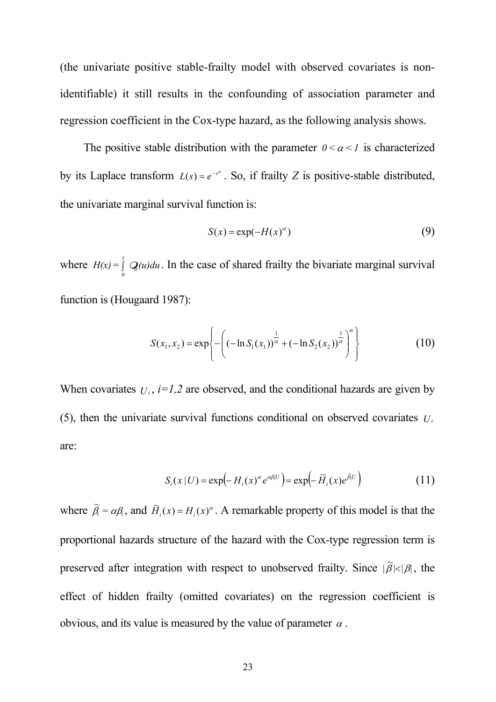(the univariate positive stable-frailty model with observed covariates is nonidentifiable) it still results in the confounding of association parameter and regression coefficient in the Cox-type hazard, as the following analysis shows.

The positive stable distribution with the parameter  $0 < \alpha < 1$  is characterized by its Laplace transform  $L(s) = e^{-s^{\alpha}}$ . So, if frailty *Z* is positive-stable distributed, the univariate marginal survival function is:

$$
S(x) = \exp(-H(x)^{\alpha})
$$
 (9)

where  $H(x) = \int Q(u)du$ . In the case of shared frailty the bivariate marginal survival function is (Hougaard 1987): *0 x* ∫ *<sup>0</sup>*

$$
S(x_1, x_2) = \exp\left\{-\left((- \ln S_1(x_1))^{\frac{1}{\alpha}} + (- \ln S_2(x_2))^{\frac{1}{\alpha}}\right)^{\alpha}\right\}
$$
(10)

When covariates  $U_i$ ,  $i=1,2$  are observed, and the conditional hazards are given by (5), then the univariate survival functions conditional on observed covariates  $U_i$ are:

$$
S_i(x | U) = \exp(-H_i(x)^\alpha e^{\alpha \beta_i U}) = \exp(-\widetilde{H}_i(x) e^{\widetilde{\beta}_i U})
$$
\n(11)

where  $\tilde{\beta}_i = \alpha \beta_i$ , and  $\tilde{H}_i(x) = H_i(x)^\alpha$ . A remarkable property of this model is that the proportional hazards structure of the hazard with the Cox-type regression term is preserved after integration with respect to unobserved frailty. Since  $|\tilde{\beta}| < |\beta|$ , the effect of hidden frailty (omitted covariates) on the regression coefficient is obvious, and its value is measured by the value of parameter  $\alpha$ .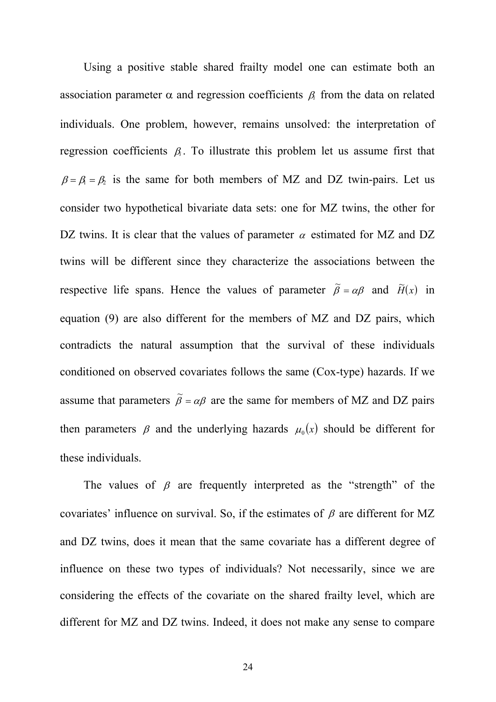Using a positive stable shared frailty model one can estimate both an association parameter  $\alpha$  and regression coefficients  $\beta_i$  from the data on related individuals. One problem, however, remains unsolved: the interpretation of regression coefficients  $\beta$ . To illustrate this problem let us assume first that  $\beta = \beta_1 = \beta_2$  is the same for both members of MZ and DZ twin-pairs. Let us consider two hypothetical bivariate data sets: one for MZ twins, the other for DZ twins. It is clear that the values of parameter  $\alpha$  estimated for MZ and DZ twins will be different since they characterize the associations between the respective life spans. Hence the values of parameter  $\tilde{\beta} = \alpha \beta$  and  $\tilde{H}(x)$  in equation (9) are also different for the members of MZ and DZ pairs, which contradicts the natural assumption that the survival of these individuals conditioned on observed covariates follows the same (Cox-type) hazards. If we assume that parameters  $\tilde{\beta} = \alpha \beta$  are the same for members of MZ and DZ pairs then parameters  $\beta$  and the underlying hazards  $\mu_0(x)$  should be different for these individuals.

The values of  $\beta$  are frequently interpreted as the "strength" of the covariates' influence on survival. So, if the estimates of  $\beta$  are different for MZ and DZ twins, does it mean that the same covariate has a different degree of influence on these two types of individuals? Not necessarily, since we are considering the effects of the covariate on the shared frailty level, which are different for MZ and DZ twins. Indeed, it does not make any sense to compare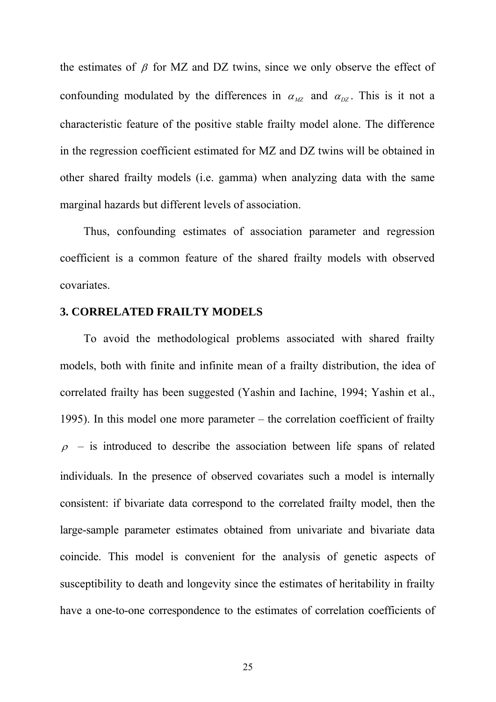the estimates of  $\beta$  for MZ and DZ twins, since we only observe the effect of confounding modulated by the differences in  $\alpha_{MZ}$  and  $\alpha_{DZ}$ . This is it not a characteristic feature of the positive stable frailty model alone. The difference in the regression coefficient estimated for MZ and DZ twins will be obtained in other shared frailty models (i.e. gamma) when analyzing data with the same marginal hazards but different levels of association.

Thus, confounding estimates of association parameter and regression coefficient is a common feature of the shared frailty models with observed covariates.

#### **3. CORRELATED FRAILTY MODELS**

To avoid the methodological problems associated with shared frailty models, both with finite and infinite mean of a frailty distribution, the idea of correlated frailty has been suggested (Yashin and Iachine, 1994; Yashin et al., 1995). In this model one more parameter – the correlation coefficient of frailty  $\rho$  – is introduced to describe the association between life spans of related individuals. In the presence of observed covariates such a model is internally consistent: if bivariate data correspond to the correlated frailty model, then the large-sample parameter estimates obtained from univariate and bivariate data coincide. This model is convenient for the analysis of genetic aspects of susceptibility to death and longevity since the estimates of heritability in frailty have a one-to-one correspondence to the estimates of correlation coefficients of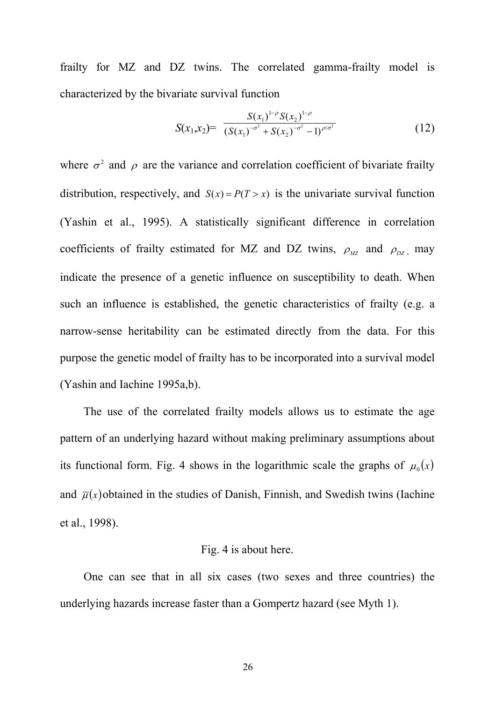frailty for MZ and DZ twins. The correlated gamma-frailty model is characterized by the bivariate survival function

$$
S(x_1,x_2) = \frac{S(x_1)^{1-\rho} S(x_2)^{1-\rho}}{(S(x_1)^{-\sigma^2} + S(x_2)^{-\sigma^2} - 1)^{\rho/\sigma^2}}
$$
(12)

where  $\sigma^2$  and  $\rho$  are the variance and correlation coefficient of bivariate frailty distribution, respectively, and  $S(x) = P(T > x)$  is the univariate survival function (Yashin et al., 1995). A statistically significant difference in correlation coefficients of frailty estimated for MZ and DZ twins,  $\rho_{\text{MZ}}$  and  $\rho_{\text{DZ}}$ , may indicate the presence of a genetic influence on susceptibility to death. When such an influence is established, the genetic characteristics of frailty (e.g. a narrow-sense heritability can be estimated directly from the data. For this purpose the genetic model of frailty has to be incorporated into a survival model (Yashin and Iachine 1995a,b).

The use of the correlated frailty models allows us to estimate the age pattern of an underlying hazard without making preliminary assumptions about its functional form. Fig. 4 shows in the logarithmic scale the graphs of  $\mu_0(x)$ and  $\overline{\mu}(x)$  obtained in the studies of Danish, Finnish, and Swedish twins (Iachine et al., 1998).

### Fig. 4 is about here.

One can see that in all six cases (two sexes and three countries) the underlying hazards increase faster than a Gompertz hazard (see Myth 1).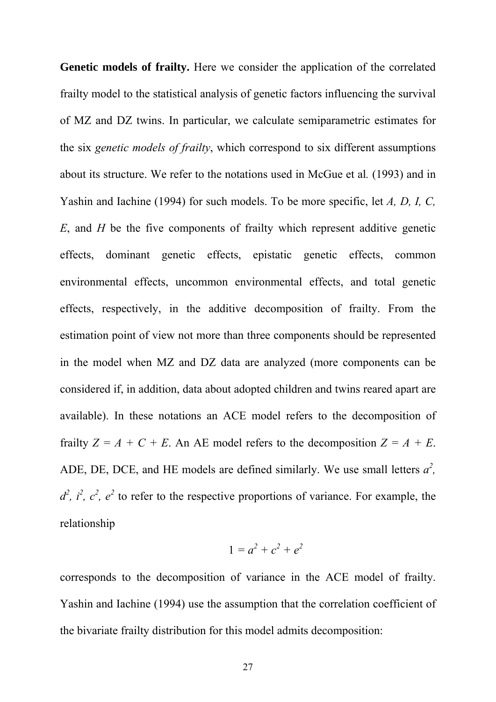**Genetic models of frailty.** Here we consider the application of the correlated frailty model to the statistical analysis of genetic factors influencing the survival of MZ and DZ twins. In particular, we calculate semiparametric estimates for the six *genetic models of frailty*, which correspond to six different assumptions about its structure. We refer to the notations used in McGue et al*.* (1993) and in Yashin and Iachine (1994) for such models. To be more specific, let *A, D, I, C, E*, and *H* be the five components of frailty which represent additive genetic effects, dominant genetic effects, epistatic genetic effects, common environmental effects, uncommon environmental effects, and total genetic effects, respectively, in the additive decomposition of frailty. From the estimation point of view not more than three components should be represented in the model when MZ and DZ data are analyzed (more components can be considered if, in addition, data about adopted children and twins reared apart are available). In these notations an ACE model refers to the decomposition of frailty  $Z = A + C + E$ . An AE model refers to the decomposition  $Z = A + E$ . ADE, DE, DCE, and HE models are defined similarly. We use small letters  $a^2$ ,  $d^2$ ,  $i^2$ ,  $c^2$ ,  $e^2$  to refer to the respective proportions of variance. For example, the relationship

$$
1=a^2+c^2+e^2
$$

corresponds to the decomposition of variance in the ACE model of frailty. Yashin and Iachine (1994) use the assumption that the correlation coefficient of the bivariate frailty distribution for this model admits decomposition: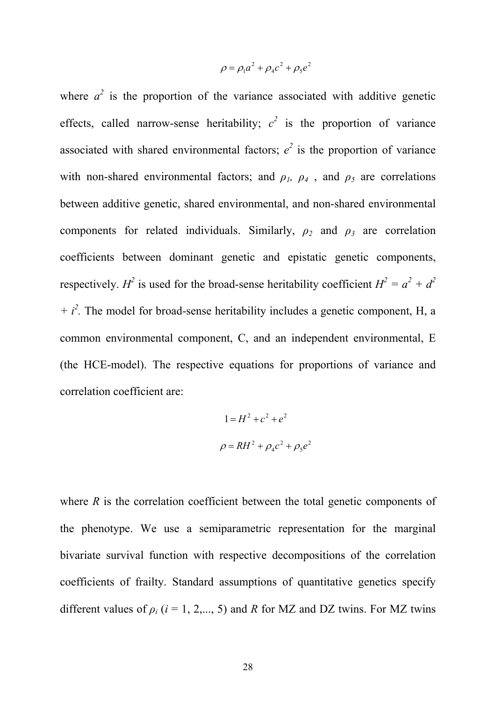$$
\rho = \rho_1 a^2 + \rho_4 c^2 + \rho_5 e^2
$$

where  $a^2$  is the proportion of the variance associated with additive genetic effects, called narrow-sense heritability;  $c^2$  is the proportion of variance associated with shared environmental factors;  $e^2$  is the proportion of variance with non-shared environmental factors; and  $\rho_1$ ,  $\rho_4$ , and  $\rho_5$  are correlations between additive genetic, shared environmental, and non-shared environmental components for related individuals. Similarly,  $\rho_2$  and  $\rho_3$  are correlation coefficients between dominant genetic and epistatic genetic components, respectively. *H*<sup>2</sup> is used for the broad-sense heritability coefficient  $H^2 = a^2 + d^2$ *+ i<sup>2</sup>*. The model for broad-sense heritability includes a genetic component, H, a common environmental component, C, and an independent environmental, E (the HCE-model). The respective equations for proportions of variance and correlation coefficient are:

$$
1 = H2 + c2 + e2
$$

$$
\rho = RH2 + \rho4c2 + \rho5e
$$

2

where  $R$  is the correlation coefficient between the total genetic components of the phenotype. We use a semiparametric representation for the marginal bivariate survival function with respective decompositions of the correlation coefficients of frailty. Standard assumptions of quantitative genetics specify different values of  $\rho_i$  ( $i = 1, 2, \dots, 5$ ) and *R* for MZ and DZ twins. For MZ twins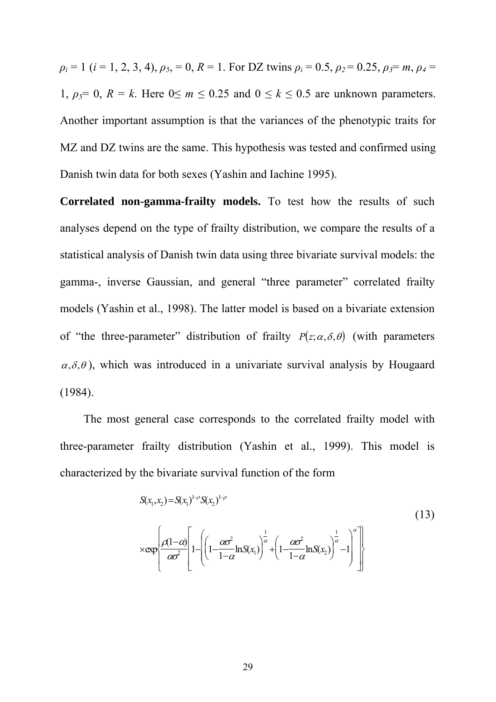$\rho_i = 1$  (*i* = 1, 2, 3, 4),  $\rho_5 = 0$ ,  $R = 1$ . For DZ twins  $\rho_i = 0.5$ ,  $\rho_2 = 0.25$ ,  $\rho_3 = m$ ,  $\rho_4 =$ 1,  $\rho_5 = 0$ ,  $R = k$ . Here  $0 \le m \le 0.25$  and  $0 \le k \le 0.5$  are unknown parameters. Another important assumption is that the variances of the phenotypic traits for MZ and DZ twins are the same. This hypothesis was tested and confirmed using Danish twin data for both sexes (Yashin and Iachine 1995).

**Correlated non-gamma-frailty models.** To test how the results of such analyses depend on the type of frailty distribution, we compare the results of a statistical analysis of Danish twin data using three bivariate survival models: the gamma-, inverse Gaussian, and general "three parameter" correlated frailty models (Yashin et al., 1998). The latter model is based on a bivariate extension of "the three-parameter" distribution of frailty  $P(z; \alpha, \delta, \theta)$  (with parameters  $\alpha$ ,  $\delta$ ,  $\theta$ ), which was introduced in a univariate survival analysis by Hougaard (1984).

The most general case corresponds to the correlated frailty model with three-parameter frailty distribution (Yashin et al., 1999). This model is characterized by the bivariate survival function of the form

$$
S(x_1, x_2) = S(x_1)^{1-\rho} S(x_2)^{1-\rho}
$$
\n
$$
\times \exp\left\{\frac{\rho(1-\alpha)}{\alpha\sigma^2} \left[1 - \left(\left(1 - \frac{\alpha\sigma^2}{1-\alpha}\ln S(x_1)\right)^{\frac{1}{\alpha}} + \left(1 - \frac{\alpha\sigma^2}{1-\alpha}\ln S(x_2)\right)^{\frac{1}{\alpha}} - 1\right)^{\alpha}\right]\right\}
$$
\n(13)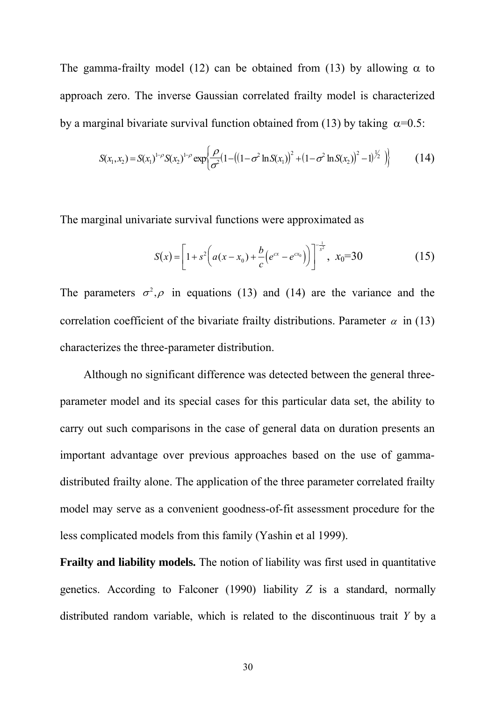The gamma-frailty model (12) can be obtained from (13) by allowing  $\alpha$  to approach zero. The inverse Gaussian correlated frailty model is characterized by a marginal bivariate survival function obtained from (13) by taking  $\alpha=0.5$ :

$$
S(x_1, x_2) = S(x_1)^{1-\rho} S(x_2)^{1-\rho} \exp\left\{ \frac{\rho}{\sigma^2} (1 - ((1 - \sigma^2 \ln S(x_1))^2 + (1 - \sigma^2 \ln S(x_2))^2 - 1)^{\frac{1}{2}}) \right\}
$$
(14)

The marginal univariate survival functions were approximated as

$$
S(x) = \left[1 + s^2 \left(a(x - x_0) + \frac{b}{c} \left(e^{cx} - e^{cx_0}\right)\right)\right]^{-\frac{1}{s^2}}, \ x_0 = 30 \tag{15}
$$

The parameters  $\sigma^2$ ,  $\rho$  in equations (13) and (14) are the variance and the correlation coefficient of the bivariate frailty distributions. Parameter  $\alpha$  in (13) characterizes the three-parameter distribution.

Although no significant difference was detected between the general threeparameter model and its special cases for this particular data set, the ability to carry out such comparisons in the case of general data on duration presents an important advantage over previous approaches based on the use of gammadistributed frailty alone. The application of the three parameter correlated frailty model may serve as a convenient goodness-of-fit assessment procedure for the less complicated models from this family (Yashin et al 1999).

**Frailty and liability models.** The notion of liability was first used in quantitative genetics. According to Falconer (1990) liability *Z* is a standard, normally distributed random variable, which is related to the discontinuous trait *Y* by a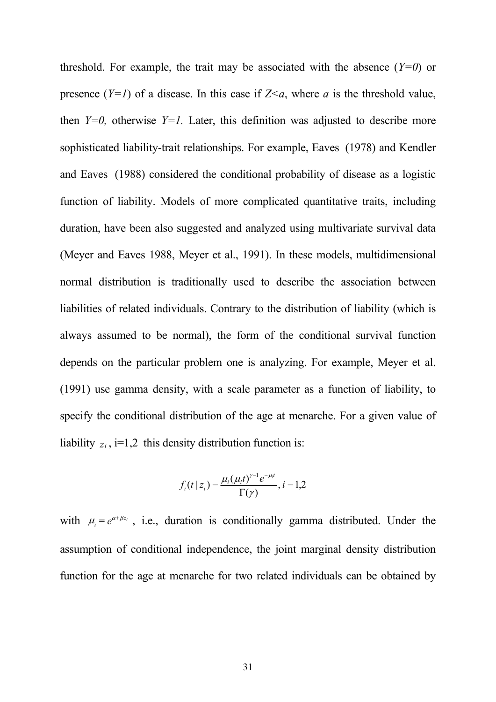threshold. For example, the trait may be associated with the absence  $(Y=0)$  or presence  $(Y=1)$  of a disease. In this case if  $Z\leq a$ , where *a* is the threshold value, then  $Y=0$ , otherwise  $Y=1$ . Later, this definition was adjusted to describe more sophisticated liability-trait relationships. For example, Eaves (1978) and Kendler and Eaves (1988) considered the conditional probability of disease as a logistic function of liability. Models of more complicated quantitative traits, including duration, have been also suggested and analyzed using multivariate survival data (Meyer and Eaves 1988, Meyer et al., 1991). In these models, multidimensional normal distribution is traditionally used to describe the association between liabilities of related individuals. Contrary to the distribution of liability (which is always assumed to be normal), the form of the conditional survival function depends on the particular problem one is analyzing. For example, Meyer et al. (1991) use gamma density, with a scale parameter as a function of liability, to specify the conditional distribution of the age at menarche. For a given value of liability  $z_i$ , i=1,2 this density distribution function is:

$$
f_i(t \,|\, z_i) = \frac{\mu_i(\mu_i t)^{\gamma - 1} e^{-\mu_i t}}{\Gamma(\gamma)}, i = 1, 2
$$

with  $\mu_i = e^{\alpha + \beta z_i}$ , i.e., duration is conditionally gamma distributed. Under the assumption of conditional independence, the joint marginal density distribution function for the age at menarche for two related individuals can be obtained by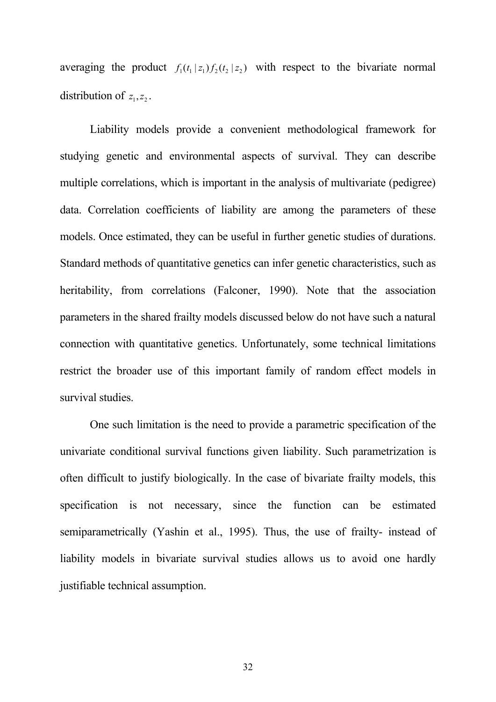averaging the product  $f_1(t_1|z_1)f_2(t_2|z_2)$  with respect to the bivariate normal distribution of  $z_1, z_2$ .

 Liability models provide a convenient methodological framework for studying genetic and environmental aspects of survival. They can describe multiple correlations, which is important in the analysis of multivariate (pedigree) data. Correlation coefficients of liability are among the parameters of these models. Once estimated, they can be useful in further genetic studies of durations. Standard methods of quantitative genetics can infer genetic characteristics, such as heritability, from correlations (Falconer, 1990). Note that the association parameters in the shared frailty models discussed below do not have such a natural connection with quantitative genetics. Unfortunately, some technical limitations restrict the broader use of this important family of random effect models in survival studies.

 One such limitation is the need to provide a parametric specification of the univariate conditional survival functions given liability. Such parametrization is often difficult to justify biologically. In the case of bivariate frailty models, this specification is not necessary, since the function can be estimated semiparametrically (Yashin et al., 1995). Thus, the use of frailty- instead of liability models in bivariate survival studies allows us to avoid one hardly justifiable technical assumption.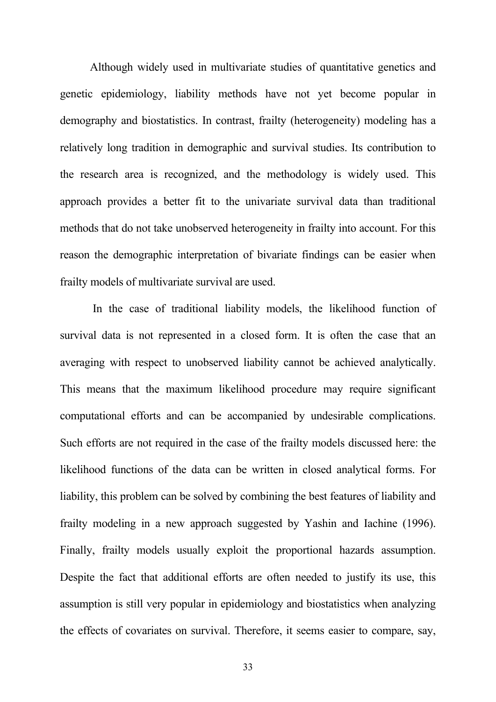Although widely used in multivariate studies of quantitative genetics and genetic epidemiology, liability methods have not yet become popular in demography and biostatistics. In contrast, frailty (heterogeneity) modeling has a relatively long tradition in demographic and survival studies. Its contribution to the research area is recognized, and the methodology is widely used. This approach provides a better fit to the univariate survival data than traditional methods that do not take unobserved heterogeneity in frailty into account. For this reason the demographic interpretation of bivariate findings can be easier when frailty models of multivariate survival are used.

 In the case of traditional liability models, the likelihood function of survival data is not represented in a closed form. It is often the case that an averaging with respect to unobserved liability cannot be achieved analytically. This means that the maximum likelihood procedure may require significant computational efforts and can be accompanied by undesirable complications. Such efforts are not required in the case of the frailty models discussed here: the likelihood functions of the data can be written in closed analytical forms. For liability, this problem can be solved by combining the best features of liability and frailty modeling in a new approach suggested by Yashin and Iachine (1996). Finally, frailty models usually exploit the proportional hazards assumption. Despite the fact that additional efforts are often needed to justify its use, this assumption is still very popular in epidemiology and biostatistics when analyzing the effects of covariates on survival. Therefore, it seems easier to compare, say,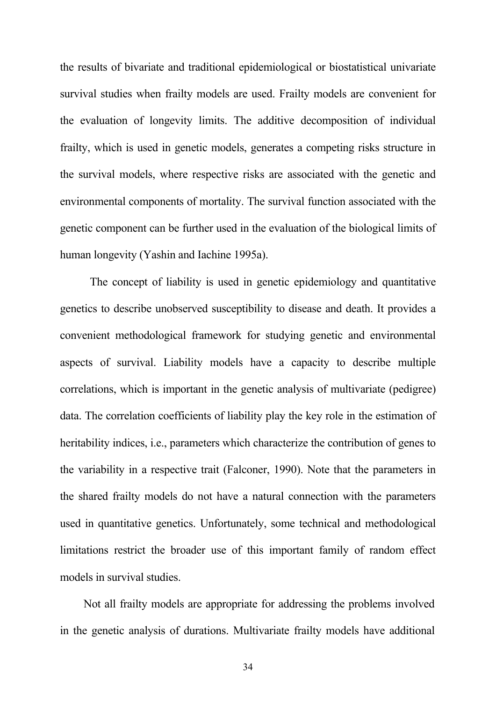the results of bivariate and traditional epidemiological or biostatistical univariate survival studies when frailty models are used. Frailty models are convenient for the evaluation of longevity limits. The additive decomposition of individual frailty, which is used in genetic models, generates a competing risks structure in the survival models, where respective risks are associated with the genetic and environmental components of mortality. The survival function associated with the genetic component can be further used in the evaluation of the biological limits of human longevity (Yashin and Iachine 1995a).

 The concept of liability is used in genetic epidemiology and quantitative genetics to describe unobserved susceptibility to disease and death. It provides a convenient methodological framework for studying genetic and environmental aspects of survival. Liability models have a capacity to describe multiple correlations, which is important in the genetic analysis of multivariate (pedigree) data. The correlation coefficients of liability play the key role in the estimation of heritability indices, i.e., parameters which characterize the contribution of genes to the variability in a respective trait (Falconer, 1990). Note that the parameters in the shared frailty models do not have a natural connection with the parameters used in quantitative genetics. Unfortunately, some technical and methodological limitations restrict the broader use of this important family of random effect models in survival studies.

Not all frailty models are appropriate for addressing the problems involved in the genetic analysis of durations. Multivariate frailty models have additional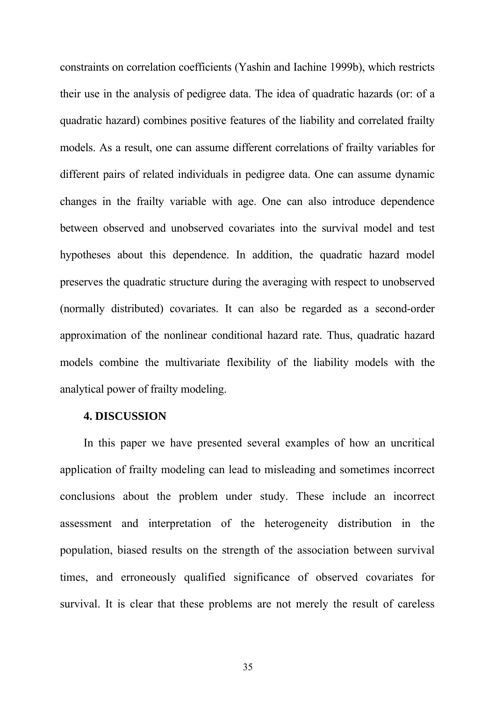constraints on correlation coefficients (Yashin and Iachine 1999b), which restricts their use in the analysis of pedigree data. The idea of quadratic hazards (or: of a quadratic hazard) combines positive features of the liability and correlated frailty models. As a result, one can assume different correlations of frailty variables for different pairs of related individuals in pedigree data. One can assume dynamic changes in the frailty variable with age. One can also introduce dependence between observed and unobserved covariates into the survival model and test hypotheses about this dependence. In addition, the quadratic hazard model preserves the quadratic structure during the averaging with respect to unobserved (normally distributed) covariates. It can also be regarded as a second-order approximation of the nonlinear conditional hazard rate. Thus, quadratic hazard models combine the multivariate flexibility of the liability models with the analytical power of frailty modeling.

### **4. DISCUSSION**

In this paper we have presented several examples of how an uncritical application of frailty modeling can lead to misleading and sometimes incorrect conclusions about the problem under study. These include an incorrect assessment and interpretation of the heterogeneity distribution in the population, biased results on the strength of the association between survival times, and erroneously qualified significance of observed covariates for survival. It is clear that these problems are not merely the result of careless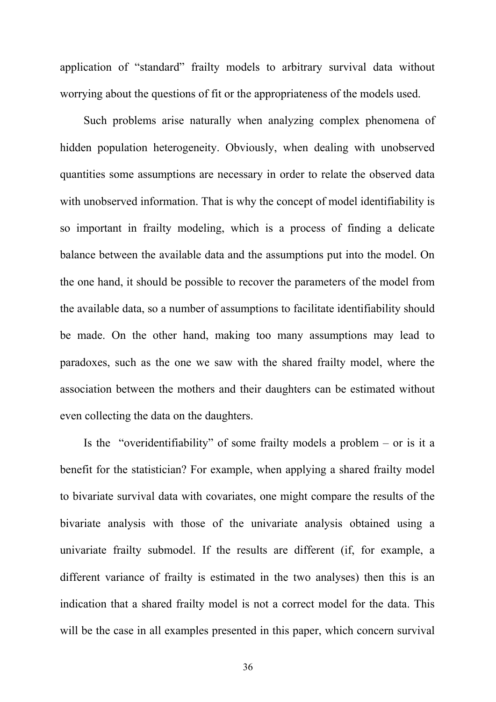application of "standard" frailty models to arbitrary survival data without worrying about the questions of fit or the appropriateness of the models used.

Such problems arise naturally when analyzing complex phenomena of hidden population heterogeneity. Obviously, when dealing with unobserved quantities some assumptions are necessary in order to relate the observed data with unobserved information. That is why the concept of model identifiability is so important in frailty modeling, which is a process of finding a delicate balance between the available data and the assumptions put into the model. On the one hand, it should be possible to recover the parameters of the model from the available data, so a number of assumptions to facilitate identifiability should be made. On the other hand, making too many assumptions may lead to paradoxes, such as the one we saw with the shared frailty model, where the association between the mothers and their daughters can be estimated without even collecting the data on the daughters.

Is the "overidentifiability" of some frailty models a problem – or is it a benefit for the statistician? For example, when applying a shared frailty model to bivariate survival data with covariates, one might compare the results of the bivariate analysis with those of the univariate analysis obtained using a univariate frailty submodel. If the results are different (if, for example, a different variance of frailty is estimated in the two analyses) then this is an indication that a shared frailty model is not a correct model for the data. This will be the case in all examples presented in this paper, which concern survival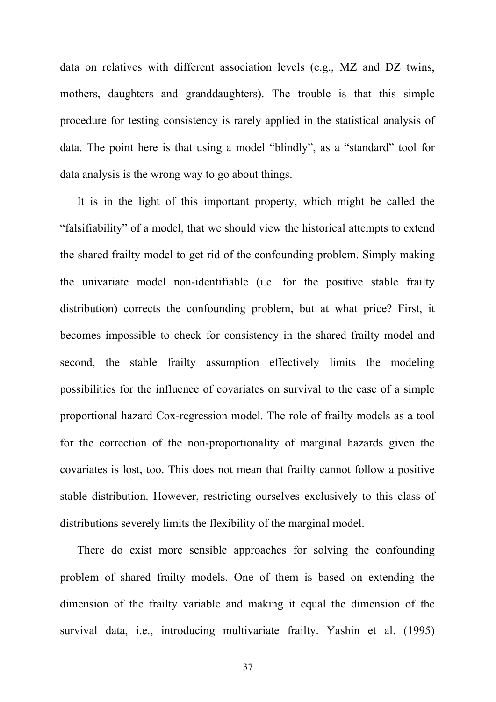data on relatives with different association levels (e.g., MZ and DZ twins, mothers, daughters and granddaughters). The trouble is that this simple procedure for testing consistency is rarely applied in the statistical analysis of data. The point here is that using a model "blindly", as a "standard" tool for data analysis is the wrong way to go about things.

It is in the light of this important property, which might be called the "falsifiability" of a model, that we should view the historical attempts to extend the shared frailty model to get rid of the confounding problem. Simply making the univariate model non-identifiable (i.e. for the positive stable frailty distribution) corrects the confounding problem, but at what price? First, it becomes impossible to check for consistency in the shared frailty model and second, the stable frailty assumption effectively limits the modeling possibilities for the influence of covariates on survival to the case of a simple proportional hazard Cox-regression model. The role of frailty models as a tool for the correction of the non-proportionality of marginal hazards given the covariates is lost, too. This does not mean that frailty cannot follow a positive stable distribution. However, restricting ourselves exclusively to this class of distributions severely limits the flexibility of the marginal model.

There do exist more sensible approaches for solving the confounding problem of shared frailty models. One of them is based on extending the dimension of the frailty variable and making it equal the dimension of the survival data, i.e., introducing multivariate frailty. Yashin et al. (1995)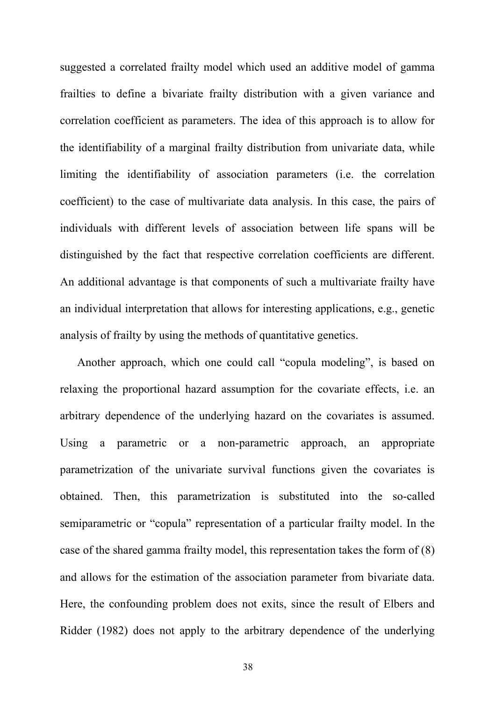suggested a correlated frailty model which used an additive model of gamma frailties to define a bivariate frailty distribution with a given variance and correlation coefficient as parameters. The idea of this approach is to allow for the identifiability of a marginal frailty distribution from univariate data, while limiting the identifiability of association parameters (i.e. the correlation coefficient) to the case of multivariate data analysis. In this case, the pairs of individuals with different levels of association between life spans will be distinguished by the fact that respective correlation coefficients are different. An additional advantage is that components of such a multivariate frailty have an individual interpretation that allows for interesting applications, e.g., genetic analysis of frailty by using the methods of quantitative genetics.

Another approach, which one could call "copula modeling", is based on relaxing the proportional hazard assumption for the covariate effects, i.e. an arbitrary dependence of the underlying hazard on the covariates is assumed. Using a parametric or a non-parametric approach, an appropriate parametrization of the univariate survival functions given the covariates is obtained. Then, this parametrization is substituted into the so-called semiparametric or "copula" representation of a particular frailty model. In the case of the shared gamma frailty model, this representation takes the form of (8) and allows for the estimation of the association parameter from bivariate data. Here, the confounding problem does not exits, since the result of Elbers and Ridder (1982) does not apply to the arbitrary dependence of the underlying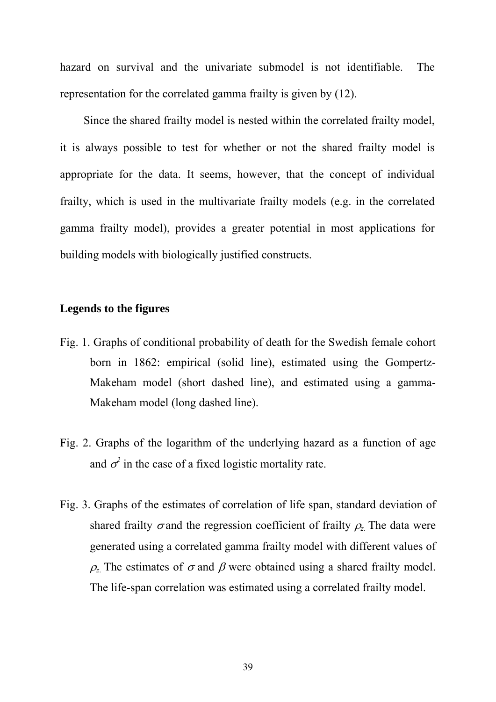hazard on survival and the univariate submodel is not identifiable. The representation for the correlated gamma frailty is given by (12).

Since the shared frailty model is nested within the correlated frailty model, it is always possible to test for whether or not the shared frailty model is appropriate for the data. It seems, however, that the concept of individual frailty, which is used in the multivariate frailty models (e.g. in the correlated gamma frailty model), provides a greater potential in most applications for building models with biologically justified constructs.

### **Legends to the figures**

- Fig. 1. Graphs of conditional probability of death for the Swedish female cohort born in 1862: empirical (solid line), estimated using the Gompertz-Makeham model (short dashed line), and estimated using a gamma-Makeham model (long dashed line).
- Fig. 2. Graphs of the logarithm of the underlying hazard as a function of age and  $\sigma^2$  in the case of a fixed logistic mortality rate.
- Fig. 3. Graphs of the estimates of correlation of life span, standard deviation of shared frailty  $\sigma$  and the regression coefficient of frailty  $\rho$ <sub>z</sub>. The data were generated using a correlated gamma frailty model with different values of  $\rho$ <sub>z</sub>. The estimates of  $\sigma$  and  $\beta$  were obtained using a shared frailty model. The life-span correlation was estimated using a correlated frailty model.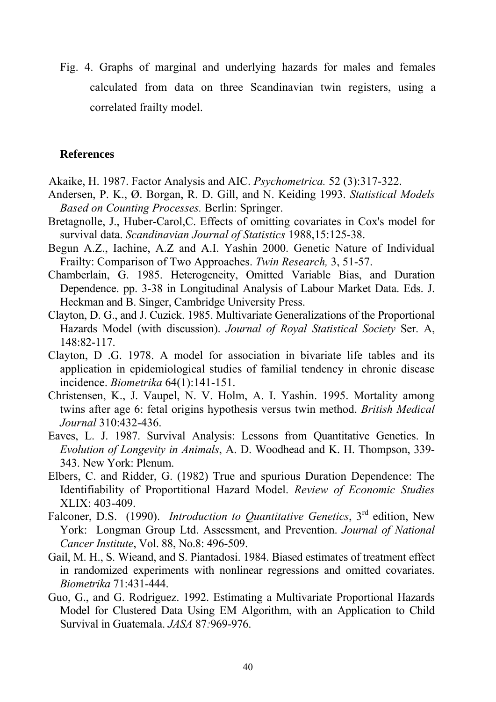Fig. 4. Graphs of marginal and underlying hazards for males and females calculated from data on three Scandinavian twin registers, using a correlated frailty model.

#### **References**

- Akaike, H. 1987. Factor Analysis and AIC. *Psychometrica.* 52 (3):317-322.
- Andersen, P. K., Ø. Borgan, R. D. Gill, and N. Keiding 1993. *Statistical Models Based on Counting Processes.* Berlin: Springer.
- Bretagnolle, J., Huber-Carol,C. Effects of omitting covariates in Cox's model for survival data. *Scandinavian Journal of Statistics* 1988,15:125-38.
- Begun A.Z., Iachine, A.Z and A.I. Yashin 2000. Genetic Nature of Individual Frailty: Comparison of Two Approaches. *Twin Research,* 3, 51-57.
- Chamberlain, G. 1985. Heterogeneity, Omitted Variable Bias, and Duration Dependence. pp. 3-38 in Longitudinal Analysis of Labour Market Data. Eds. J. Heckman and B. Singer, Cambridge University Press.
- Clayton, D. G., and J. Cuzick. 1985. Multivariate Generalizations of the Proportional Hazards Model (with discussion). *Journal of Royal Statistical Society* Ser. A, 148:82-117.
- Clayton, D .G. 1978. A model for association in bivariate life tables and its application in epidemiological studies of familial tendency in chronic disease incidence. *Biometrika* 64(1):141-151.
- Christensen, K., J. Vaupel, N. V. Holm, A. I. Yashin. 1995. Mortality among twins after age 6: fetal origins hypothesis versus twin method. *British Medical Journal* 310:432-436.
- Eaves, L. J. 1987. Survival Analysis: Lessons from Quantitative Genetics. In *Evolution of Longevity in Animals*, A. D. Woodhead and K. H. Thompson, 339- 343. New York: Plenum.
- Elbers, C. and Ridder, G. (1982) True and spurious Duration Dependence: The Identifiability of Proportitional Hazard Model. *Review of Economic Studies* XLIX: 403-409.
- Falconer, D.S. (1990). *Introduction to Quantitative Genetics*, 3<sup>rd</sup> edition, New York: Longman Group Ltd. Assessment, and Prevention. *Journal of National Cancer Institute*, Vol. 88, No.8: 496-509.
- Gail, M. H., S. Wieand, and S. Piantadosi. 1984. Biased estimates of treatment effect in randomized experiments with nonlinear regressions and omitted covariates. *Biometrika* 71:431-444.
- Guo, G., and G. Rodriguez. 1992. Estimating a Multivariate Proportional Hazards Model for Clustered Data Using EM Algorithm, with an Application to Child Survival in Guatemala. *JASA* 87*:*969-976.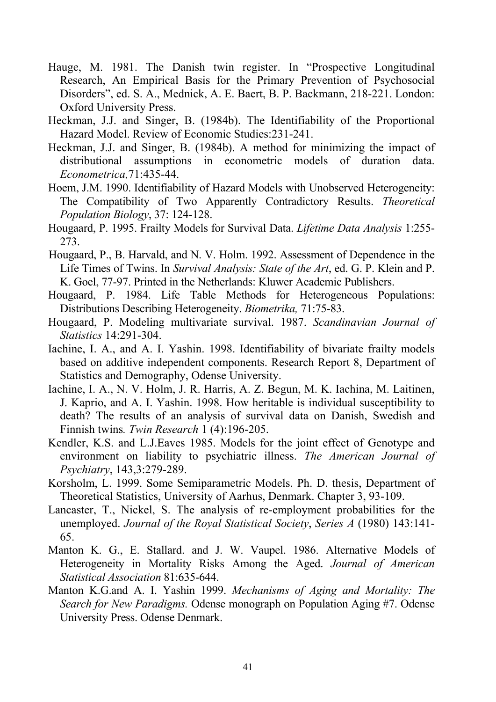- Hauge, M. 1981. The Danish twin register. In "Prospective Longitudinal Research, An Empirical Basis for the Primary Prevention of Psychosocial Disorders", ed. S. A., Mednick, A. E. Baert, B. P. Backmann, 218-221. London: Oxford University Press.
- Heckman, J.J. and Singer, B. (1984b). The Identifiability of the Proportional Hazard Model. Review of Economic Studies:231-241.
- Heckman, J.J. and Singer, B. (1984b). A method for minimizing the impact of distributional assumptions in econometric models of duration data. *Econometrica,*71:435-44.
- Hoem, J.M. 1990. Identifiability of Hazard Models with Unobserved Heterogeneity: The Compatibility of Two Apparently Contradictory Results. *Theoretical Population Biology*, 37: 124-128.
- Hougaard, P. 1995. Frailty Models for Survival Data. *Lifetime Data Analysis* 1:255- 273.
- Hougaard, P., B. Harvald, and N. V. Holm. 1992. Assessment of Dependence in the Life Times of Twins. In *Survival Analysis: State of the Art*, ed. G. P. Klein and P. K. Goel, 77-97. Printed in the Netherlands: Kluwer Academic Publishers.
- Hougaard, P. 1984. Life Table Methods for Heterogeneous Populations: Distributions Describing Heterogeneity. *Biometrika,* 71:75-83.
- Hougaard, P. Modeling multivariate survival. 1987. *Scandinavian Journal of Statistics* 14:291-304.
- Iachine, I. A., and A. I. Yashin. 1998. Identifiability of bivariate frailty models based on additive independent components. Research Report 8, Department of Statistics and Demography, Odense University.
- Iachine, I. A., N. V. Holm, J. R. Harris, A. Z. Begun, M. K. Iachina, M. Laitinen, J. Kaprio, and A. I. Yashin. 1998. How heritable is individual susceptibility to death? The results of an analysis of survival data on Danish, Swedish and Finnish twins*. Twin Research* 1 (4):196-205.
- Kendler, K.S. and L.J.Eaves 1985. Models for the joint effect of Genotype and environment on liability to psychiatric illness. *The American Journal of Psychiatry*, 143,3:279-289.
- Korsholm, L. 1999. Some Semiparametric Models. Ph. D. thesis, Department of Theoretical Statistics, University of Aarhus, Denmark. Chapter 3, 93-109.
- Lancaster, T., Nickel, S. The analysis of re-employment probabilities for the unemployed. *Journal of the Royal Statistical Society*, *Series A* (1980) 143:141- 65.
- Manton K. G., E. Stallard. and J. W. Vaupel. 1986. Alternative Models of Heterogeneity in Mortality Risks Among the Aged. *Journal of American Statistical Association* 81:635-644.
- Manton K.G.and A. I. Yashin 1999. *Mechanisms of Aging and Mortality: The Search for New Paradigms.* Odense monograph on Population Aging #7. Odense University Press. Odense Denmark.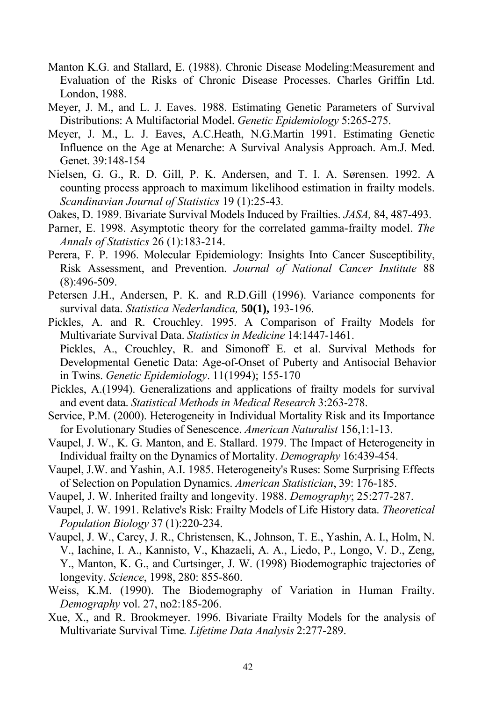- Manton K.G. and Stallard, E. (1988). Chronic Disease Modeling:Measurement and Evaluation of the Risks of Chronic Disease Processes. Charles Griffin Ltd. London, 1988.
- Meyer, J. M., and L. J. Eaves. 1988. Estimating Genetic Parameters of Survival Distributions: A Multifactorial Model. *Genetic Epidemiology* 5:265-275.
- Meyer, J. M., L. J. Eaves, A.C.Heath, N.G.Martin 1991. Estimating Genetic Influence on the Age at Menarche: A Survival Analysis Approach. Am.J. Med. Genet. 39:148-154
- Nielsen, G. G., R. D. Gill, P. K. Andersen, and T. I. A. Sørensen. 1992. A counting process approach to maximum likelihood estimation in frailty models. *Scandinavian Journal of Statistics* 19 (1):25-43*.*
- Oakes, D. 1989. Bivariate Survival Models Induced by Frailties. *JASA,* 84, 487-493.
- Parner, E. 1998. Asymptotic theory for the correlated gamma-frailty model. *The Annals of Statistics* 26 (1):183-214.
- Perera, F. P. 1996. Molecular Epidemiology: Insights Into Cancer Susceptibility, Risk Assessment, and Prevention. *Journal of National Cancer Institute* 88 (8):496-509.
- Petersen J.H., Andersen, P. K. and R.D.Gill (1996). Variance components for survival data. *Statistica Nederlandica,* **50(1),** 193-196.
- Pickles, A. and R. Crouchley. 1995. A Comparison of Frailty Models for Multivariate Survival Data. *Statistics in Medicine* 14:1447-1461. Pickles, A., Crouchley, R. and Simonoff E. et al. Survival Methods for Developmental Genetic Data: Age-of-Onset of Puberty and Antisocial Behavior in Twins. *Genetic Epidemiology*. 11(1994); 155-170
- Pickles, A.(1994). Generalizations and applications of frailty models for survival and event data. *Statistical Methods in Medical Research* 3:263-278.
- Service, P.M. (2000). Heterogeneity in Individual Mortality Risk and its Importance for Evolutionary Studies of Senescence. *American Naturalist* 156,1:1-13.
- Vaupel, J. W., K. G. Manton, and E. Stallard. 1979. The Impact of Heterogeneity in Individual frailty on the Dynamics of Mortality. *Demography* 16:439-454.
- Vaupel, J.W. and Yashin, A.I. 1985. Heterogeneity's Ruses: Some Surprising Effects of Selection on Population Dynamics. *American Statistician*, 39: 176-185.
- Vaupel, J. W. Inherited frailty and longevity. 1988. *Demography*; 25:277-287.
- Vaupel, J. W. 1991. Relative's Risk: Frailty Models of Life History data. *Theoretical Population Biology* 37 (1):220-234.
- Vaupel, J. W., Carey, J. R., Christensen, K., Johnson, T. E., Yashin, A. I., Holm, N. V., Iachine, I. A., Kannisto, V., Khazaeli, A. A., Liedo, P., Longo, V. D., Zeng, Y., Manton, K. G., and Curtsinger, J. W. (1998) Biodemographic trajectories of longevity. *Science*, 1998, 280: 855-860.
- Weiss, K.M. (1990). The Biodemography of Variation in Human Frailty. *Demography* vol. 27, no2:185-206.
- Xue, X., and R. Brookmeyer. 1996. Bivariate Frailty Models for the analysis of Multivariate Survival Time*. Lifetime Data Analysis* 2:277-289.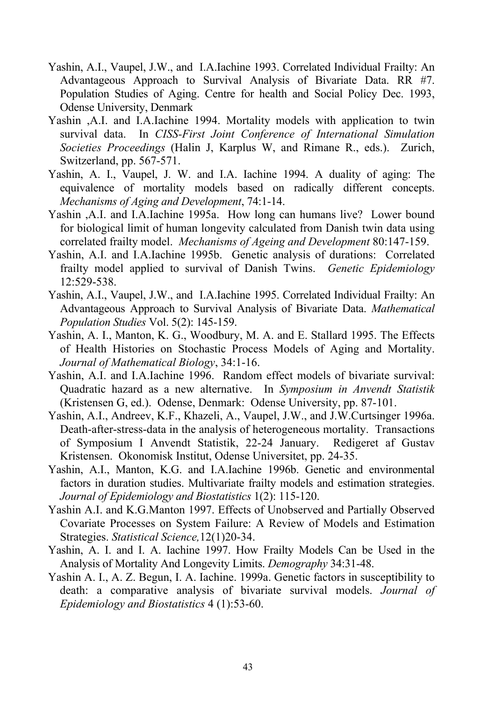- Yashin, A.I., Vaupel, J.W., and I.A.Iachine 1993. Correlated Individual Frailty: An Advantageous Approach to Survival Analysis of Bivariate Data. RR #7. Population Studies of Aging. Centre for health and Social Policy Dec. 1993, Odense University, Denmark
- Yashin ,A.I. and I.A.Iachine 1994. Mortality models with application to twin survival data. In *CISS-First Joint Conference of International Simulation Societies Proceedings* (Halin J, Karplus W, and Rimane R., eds.). Zurich, Switzerland, pp. 567-571.
- Yashin, A. I., Vaupel, J. W. and I.A. Iachine 1994. A duality of aging: The equivalence of mortality models based on radically different concepts. *Mechanisms of Aging and Development*, 74:1-14.
- Yashin ,A.I. and I.A.Iachine 1995a. How long can humans live? Lower bound for biological limit of human longevity calculated from Danish twin data using correlated frailty model. *Mechanisms of Ageing and Development* 80:147-159.
- Yashin, A.I. and I.A.Iachine 1995b. Genetic analysis of durations: Correlated frailty model applied to survival of Danish Twins. *Genetic Epidemiology* 12:529-538.
- Yashin, A.I., Vaupel, J.W., and I.A.Iachine 1995. Correlated Individual Frailty: An Advantageous Approach to Survival Analysis of Bivariate Data. *Mathematical Population Studies* Vol. 5(2): 145-159.
- Yashin, A. I., Manton, K. G., Woodbury, M. A. and E. Stallard 1995. The Effects of Health Histories on Stochastic Process Models of Aging and Mortality. *Journal of Mathematical Biology*, 34:1-16.
- Yashin, A.I. and I.A.Iachine 1996. Random effect models of bivariate survival: Quadratic hazard as a new alternative. In *Symposium in Anvendt Statistik* (Kristensen G, ed.). Odense, Denmark: Odense University, pp. 87-101.
- Yashin, A.I., Andreev, K.F., Khazeli, A., Vaupel, J.W., and J.W.Curtsinger 1996a. Death-after-stress-data in the analysis of heterogeneous mortality. Transactions of Symposium I Anvendt Statistik, 22-24 January. Redigeret af Gustav Kristensen. Okonomisk Institut, Odense Universitet, pp. 24-35.
- Yashin, A.I., Manton, K.G. and I.A.Iachine 1996b. Genetic and environmental factors in duration studies. Multivariate frailty models and estimation strategies. *Journal of Epidemiology and Biostatistics* 1(2): 115-120.
- Yashin A.I. and K.G.Manton 1997. Effects of Unobserved and Partially Observed Covariate Processes on System Failure: A Review of Models and Estimation Strategies. *Statistical Science,*12(1)20-34.
- Yashin, A. I. and I. A. Iachine 1997. How Frailty Models Can be Used in the Analysis of Mortality And Longevity Limits. *Demography* 34:31-48.
- Yashin A. I., A. Z. Begun, I. A. Iachine. 1999a. Genetic factors in susceptibility to death: a comparative analysis of bivariate survival models. *Journal of Epidemiology and Biostatistics* 4 (1):53-60.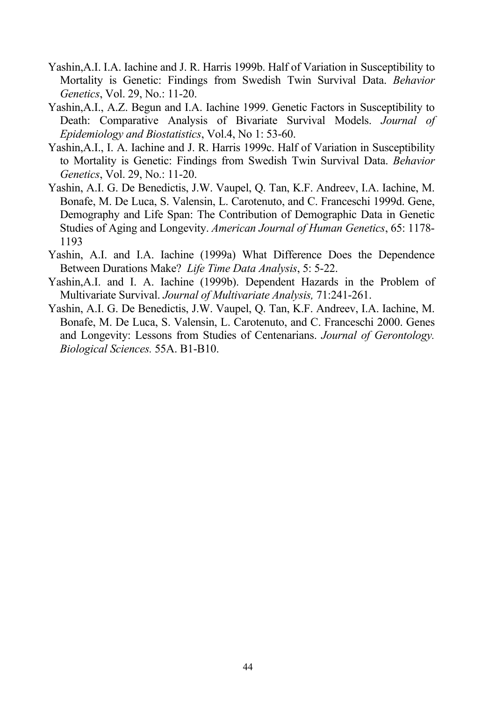- Yashin,A.I. I.A. Iachine and J. R. Harris 1999b. Half of Variation in Susceptibility to Mortality is Genetic: Findings from Swedish Twin Survival Data. *Behavior Genetics*, Vol. 29, No.: 11-20.
- Yashin,A.I., A.Z. Begun and I.A. Iachine 1999. Genetic Factors in Susceptibility to Death: Comparative Analysis of Bivariate Survival Models. *Journal of Epidemiology and Biostatistics*, Vol.4, No 1: 53-60.
- Yashin,A.I., I. A. Iachine and J. R. Harris 1999c. Half of Variation in Susceptibility to Mortality is Genetic: Findings from Swedish Twin Survival Data. *Behavior Genetics*, Vol. 29, No.: 11-20.
- Yashin, A.I. G. De Benedictis, J.W. Vaupel, Q. Tan, K.F. Andreev, I.A. Iachine, M. Bonafe, M. De Luca, S. Valensin, L. Carotenuto, and C. Franceschi 1999d. Gene, Demography and Life Span: The Contribution of Demographic Data in Genetic Studies of Aging and Longevity. *American Journal of Human Genetics*, 65: 1178- 1193
- Yashin, A.I. and I.A. Iachine (1999a) What Difference Does the Dependence Between Durations Make? *Life Time Data Analysis*, 5: 5-22.
- Yashin,A.I. and I. A. Iachine (1999b). Dependent Hazards in the Problem of Multivariate Survival. *Journal of Multivariate Analysis,* 71:241-261.
- Yashin, A.I. G. De Benedictis, J.W. Vaupel, Q. Tan, K.F. Andreev, I.A. Iachine, M. Bonafe, M. De Luca, S. Valensin, L. Carotenuto, and C. Franceschi 2000. Genes and Longevity: Lessons from Studies of Centenarians. *Journal of Gerontology. Biological Sciences.* 55A. B1-B10.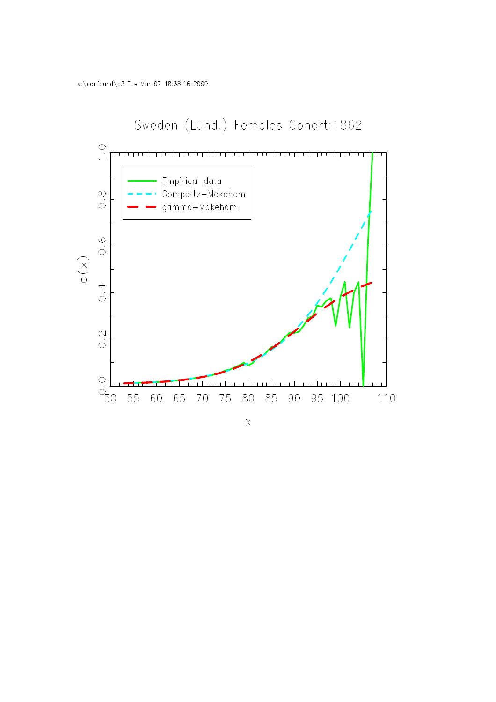

### $\bar{\mathsf{X}}$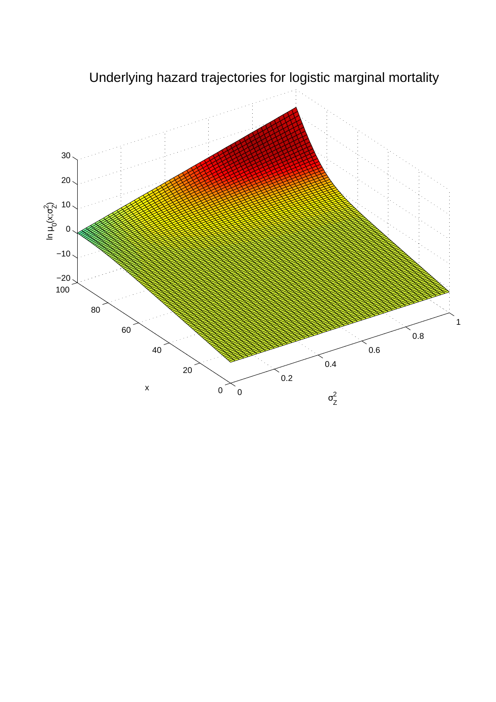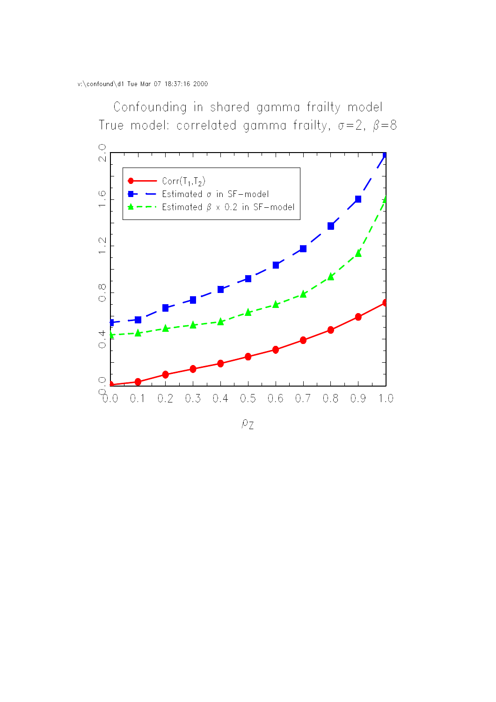Confounding in shared gamma frailty model True model: correlated gamma frailty,  $\sigma = 2$ ,  $\beta = 8$ 



 $\rho_Z$